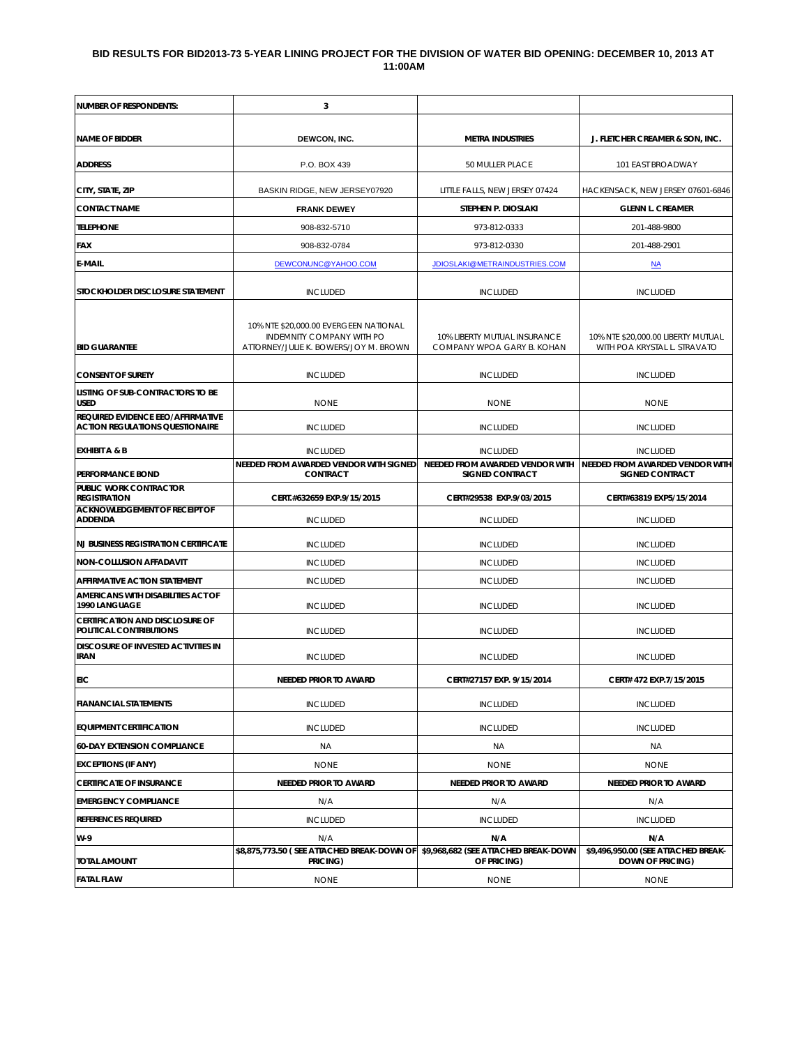#### **BID RESULTS FOR BID2013-73 5-YEAR LINING PROJECT FOR THE DIVISION OF WATER BID OPENING: DECEMBER 10, 2013 AT 11:00AM**

| <b>NUMBER OF RESPONDENTS:</b>                                               | 3                                                                                                           |                                                            |                                                                    |
|-----------------------------------------------------------------------------|-------------------------------------------------------------------------------------------------------------|------------------------------------------------------------|--------------------------------------------------------------------|
| <b>NAME OF BIDDER</b>                                                       | DEWCON, INC.                                                                                                | <b>METRA INDUSTRIES</b>                                    | J. FLETCHER CREAMER & SON, INC.                                    |
| <b>ADDRESS</b>                                                              | P.O. BOX 439                                                                                                | 50 MULLER PLACE                                            | 101 EAST BROADWAY                                                  |
| CITY, STATE, ZIP                                                            | BASKIN RIDGE, NEW JERSEY07920                                                                               | LITTLE FALLS, NEW JERSEY 07424                             | HACKENSACK, NEW JERSEY 07601-6846                                  |
| <b>CONTACT NAME</b>                                                         | <b>FRANK DEWEY</b>                                                                                          | STEPHEN P. DIOSLAKI                                        | <b>GLENN L. CREAMER</b>                                            |
| <b>TELEPHONE</b>                                                            | 908-832-5710                                                                                                | 973-812-0333                                               | 201-488-9800                                                       |
| <b>FAX</b>                                                                  | 908-832-0784                                                                                                | 973-812-0330                                               | 201-488-2901                                                       |
| <b>E-MAIL</b>                                                               | DEWCONUNC@YAHOO.COM                                                                                         | JDIOSLAKI@METRAINDUSTRIES.COM                              | M <sub>A</sub>                                                     |
| STOCKHOLDER DISCLOSURE STATEMENT                                            | <b>INCLUDED</b>                                                                                             | <b>INCLUDED</b>                                            | <b>INCLUDED</b>                                                    |
| <b>BID GUARANTEE</b>                                                        | 10% NTE \$20,000.00 EVERGEEN NATIONAL<br>INDEMNITY COMPANY WITH PO<br>ATTORNEY/JULIE K. BOWERS/JOY M. BROWN | 10% LIBERTY MUTUAL INSURANCE<br>COMPANY WPOA GARY B. KOHAN | 10% NTE \$20,000.00 LIBERTY MUTUAL<br>WITH POA KRYSTAL L. STRAVATO |
| <b>CONSENT OF SURETY</b>                                                    | <b>INCLUDED</b>                                                                                             | <b>INCLUDED</b>                                            | <b>INCLUDED</b>                                                    |
| LISTING OF SUB-CONTRACTORS TO BE<br><b>USED</b>                             | <b>NONE</b>                                                                                                 | <b>NONE</b>                                                | <b>NONE</b>                                                        |
| REQUIRED EVIDENCE EEO/AFFIRMATIVE<br><b>ACTION REGULATIONS QUESTIONAIRE</b> | <b>INCLUDED</b>                                                                                             | <b>INCLUDED</b>                                            | <b>INCLUDED</b>                                                    |
| <b>EXHIBIT A &amp; B</b>                                                    | <b>INCLUDED</b><br>NEEDED FROM AWARDED VENDOR WITH SIGNED                                                   | <b>INCLUDED</b><br>NEEDED FROM AWARDED VENDOR WITH         | <b>INCLUDED</b><br>NEEDED FROM AWARDED VENDOR WITH                 |
| <b>PERFORMANCE BOND</b><br>PUBLIC WORK CONTRACTOR                           | <b>CONTRACT</b>                                                                                             | <b>SIGNED CONTRACT</b>                                     | <b>SIGNED CONTRACT</b>                                             |
| <b>REGISTRATION</b>                                                         | CERT.#632659 EXP.9/15/2015                                                                                  | CERT#29538 EXP.9/03/2015                                   | CERT#63819 EXP5/15/2014                                            |
| <b>ACKNOWLEDGEMENT OF RECEIPT OF</b><br><b>ADDENDA</b>                      | <b>INCLUDED</b>                                                                                             | <b>INCLUDED</b>                                            | <b>INCLUDED</b>                                                    |
| <b>NJ BUSINESS REGISTRATION CERTIFICATE</b>                                 | <b>INCLUDED</b>                                                                                             | <b>INCLUDED</b>                                            | <b>INCLUDED</b>                                                    |
| <b>NON-COLLUSION AFFADAVIT</b>                                              | <b>INCLUDED</b>                                                                                             | <b>INCLUDED</b>                                            | <b>INCLUDED</b>                                                    |
| <b>AFFIRMATIVE ACTION STATEMENT</b>                                         | <b>INCLUDED</b>                                                                                             | <b>INCLUDED</b>                                            | <b>INCLUDED</b>                                                    |
| AMERICANS WITH DISABILITIES ACT OF<br>1990 LANGUAGE                         | <b>INCLUDED</b>                                                                                             | <b>INCLUDED</b>                                            | <b>INCLUDED</b>                                                    |
| <b>CERTIFICATION AND DISCLOSURE OF</b><br>POLITICAL CONTRIBUTIONS           | <b>INCLUDED</b>                                                                                             | <b>INCLUDED</b>                                            | <b>INCLUDED</b>                                                    |
| <b>DISCOSURE OF INVESTED ACTIVITIES IN</b><br><b>IRAN</b>                   | <b>INCLUDED</b>                                                                                             | <b>INCLUDED</b>                                            | <b>INCLUDED</b>                                                    |
| <b>EIC</b>                                                                  | NEEDED PRIOR TO AWARD                                                                                       | CERT#27157 EXP. 9/15/2014                                  | CERT# 472 EXP.7/15/2015                                            |
| <b>FIANANCIAL STATEMENTS</b>                                                | <b>INCLUDED</b>                                                                                             | <b>INCLUDED</b>                                            | <b>INCLUDED</b>                                                    |
| <b>EQUIPMENT CERTIFICATION</b>                                              | <b>INCLUDED</b>                                                                                             | <b>INCLUDED</b>                                            | <b>INCLUDED</b>                                                    |
| <b>60-DAY EXTENSION COMPLIANCE</b>                                          | <b>NA</b>                                                                                                   | ΝA                                                         | ΝA                                                                 |
| <b>EXCEPTIONS (IF ANY)</b>                                                  | <b>NONE</b>                                                                                                 | <b>NONE</b>                                                | <b>NONE</b>                                                        |
| <b>CERTIFICATE OF INSURANCE</b>                                             | <b>NEEDED PRIOR TO AWARD</b>                                                                                | NEEDED PRIOR TO AWARD                                      | NEEDED PRIOR TO AWARD                                              |
| <b>EMERGENCY COMPLIANCE</b>                                                 | N/A                                                                                                         | N/A                                                        | N/A                                                                |
| <b>REFERENCES REQUIRED</b>                                                  | <b>INCLUDED</b>                                                                                             | <b>INCLUDED</b>                                            | <b>INCLUDED</b>                                                    |
| W-9                                                                         | N/A                                                                                                         | N/A                                                        | N/A                                                                |
| <b>TOTAL AMOUNT</b>                                                         | \$8,875,773.50 ( SEE ATTACHED BREAK-DOWN OF \$9,968,682 (SEE ATTACHED BREAK-DOWN<br>PRICING)                | OF PRICING)                                                | \$9,496,950.00 (SEE ATTACHED BREAK-<br><b>DOWN OF PRICING)</b>     |
| <b>FATAL FLAW</b>                                                           | <b>NONE</b>                                                                                                 | <b>NONE</b>                                                | <b>NONE</b>                                                        |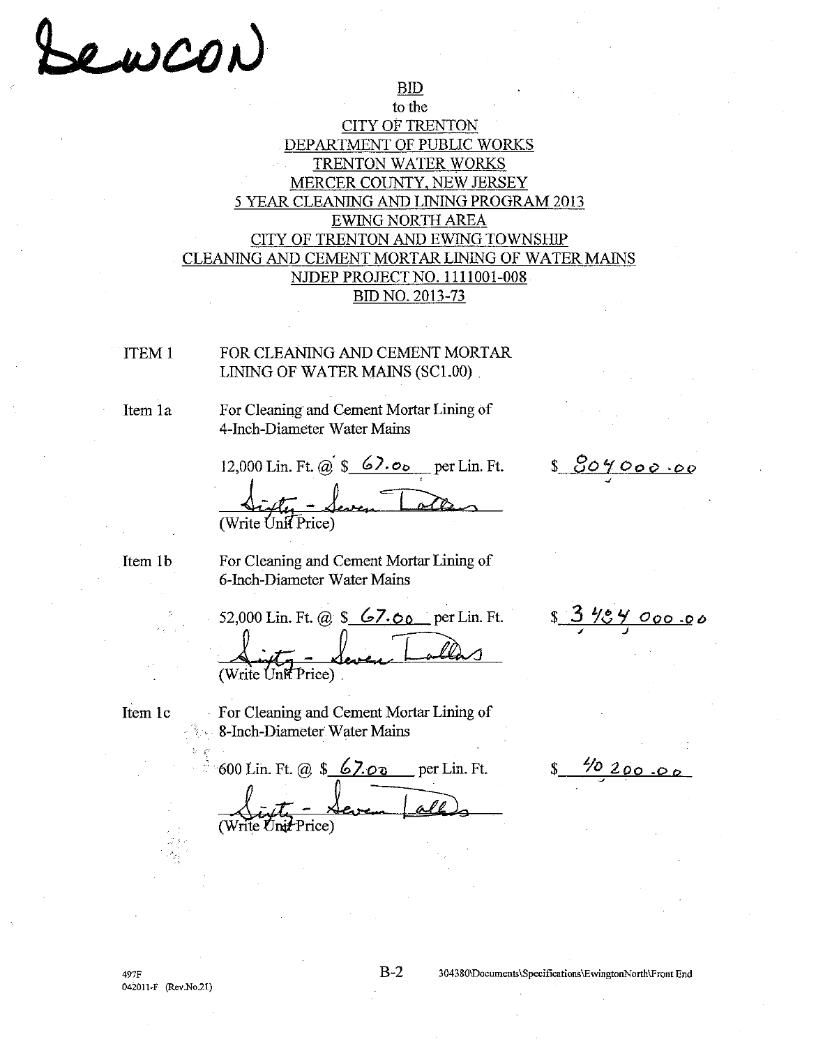# ewcon

## to the **CITY OF TRENTON** DEPARTMENT OF PUBLIC WORKS TRENTON WATER WORKS MERCER COUNTY, NEW JERSEY 5 YEAR CLEANING AND LINING PROGRAM 2013 **EWING NORTH AREA** CITY OF TRENTON AND EWING TOWNSHIP CLEANING AND CEMENT MORTAR LINING OF WATER MAINS NJDEP PROJECT NO. 1111001-008 BID NO. 2013-73

 $BID$ 

**ITEM1** 

FOR CLEANING AND CEMENT MORTAR LINING OF WATER MAINS (SC1.00)

Item 1a

For Cleaning and Cement Mortar Lining of 4-Inch-Diameter Water Mains

12,000 Lin. Ft. @  $\frac{\sqrt{2}}{2}$   $\frac{6}{2}$   $\frac{6}{2}$  per Lin. Ft. (Write Unit Price)

<u>s 804000.00</u>

<u>404 000 0</u>0

Item 1b

For Cleaning and Cement Mortar Lining of 6-Inch-Diameter Water Mains

52,000 Lin. Ft. @  $\frac{\sqrt{5}}{200}$  per Lin. Ft. (Write Unit Price)

Item 1c

For Cleaning and Cement Mortar Lining of 8-Inch-Diameter Water Mains

600 Lin. Ft. @ \$ 67.00 per Lin. Ft.

 $\frac{4/0}{1}$  200.00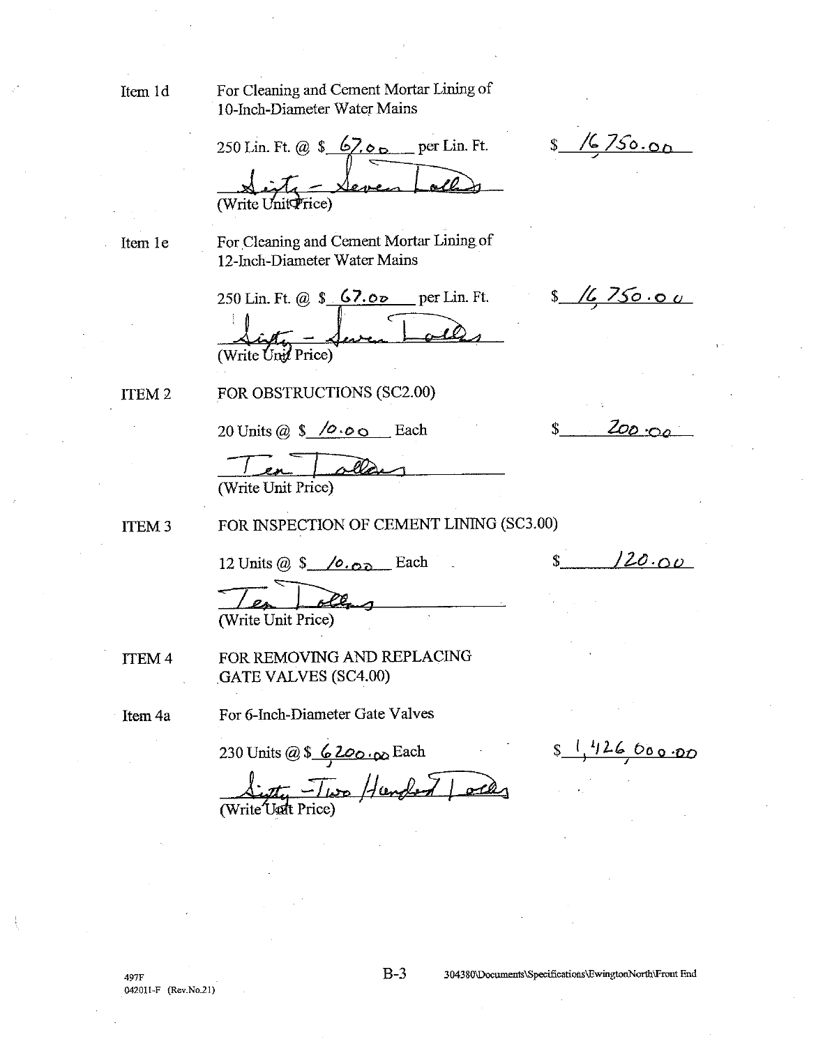Item 1d

For Cleaning and Cement Mortar Lining of 10-Inch-Diameter Water Mains

250 Lin. Ft. @  $\frac{67.06}{\pi}$  per Lin. Ft. (Write Unit Price)

Item 1e

For Cleaning and Cement Mortar Lining of 12-Inch-Diameter Water Mains

250 Lin. Ft. @  $$67.05$  per Lin. Ft. (Write Unit Price)

ITEM<sub>2</sub>

FOR OBSTRUCTIONS (SC2.00)

20 Units @  $$ /$  $0.00$  Each

Write Unit Price)

FOR INSPECTION OF CEMENT LINING (SC3.00) **ITEM 3** 

12 Units  $@S$  / $@S$  Each

(Write Unit Price)

FOR REMOVING AND REPLACING **ITEM4 GATE VALVES (SC4.00)** 

Item 4a

For 6-Inch-Diameter Gate Valves

 $s$ <sup>1</sup>/26 000.00

 $$16750.00$ 

<u>16750.00 </u>

 $200.00$ 

 $120.00$ 

 $S_{-}$ 

 $\mathbf{\hat{S}}$ 

\$

230 Units @ \$ 6200.00 Each<br> $\frac{1}{\sqrt{2\pi}} \frac{1}{\sqrt{2\pi}} \frac{1}{\sqrt{2\pi}} \frac{1}{\sqrt{2\pi}}$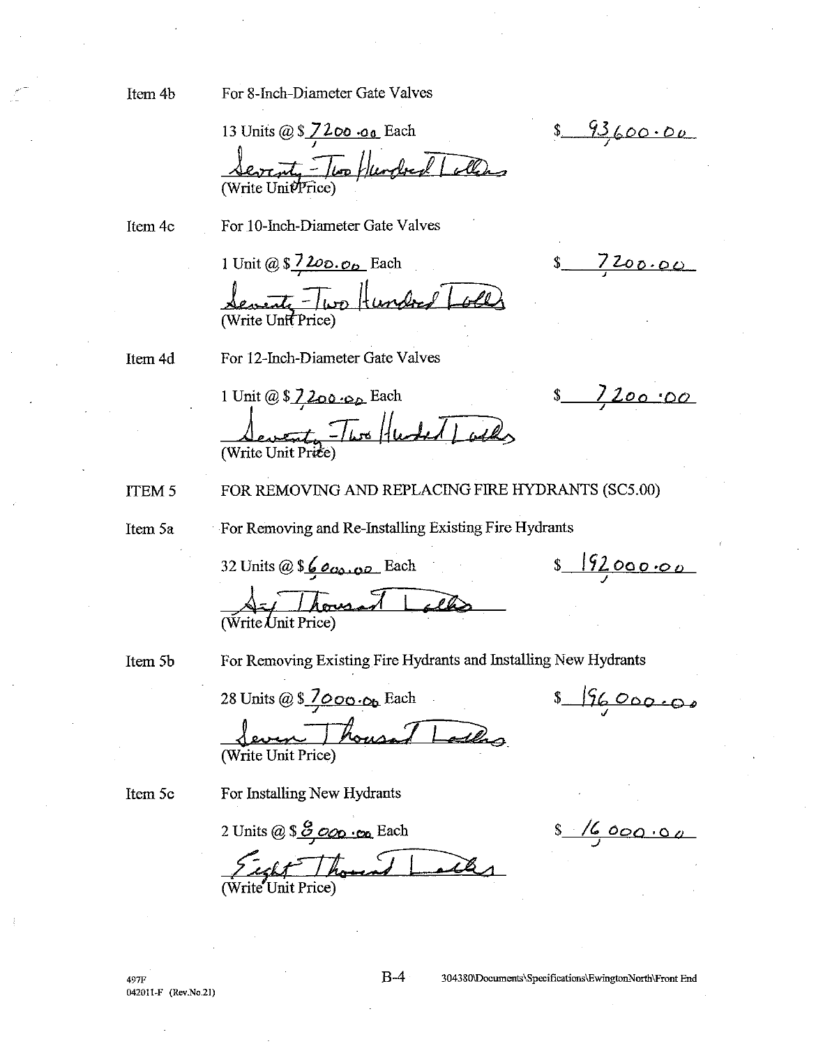Item 4b

For 8-Inch-Diameter Gate Valves

13 Units @ \$ 7200 .00 Each <u>Sevent Two Hundred / allen</u>

Item 4c

For 10-Inch-Diameter Gate Valves

1 Unit @  $$7200.06$  Each

Severity - Two Hundred Loll

 $7200.00$ 

 $$1200:00$ 

 $s$   $19200000$ 

 $89360000$ 

Item 4d

For 12-Inch-Diameter Gate Valves

1 Unit @ \$ 7 200.00 Each Sevent Two Huder Locks

FOR REMOVING AND REPLACING FIRE HYDRANTS (SC5.00) **ITEM 5** 

Item 5a

For Removing and Re-Installing Existing Fire Hydrants

32 Units @ \$600,00 Each

Write Unit Price)

Item 5b

For Removing Existing Fire Hydrants and Installing New Hydrants

28 Units @  $\sqrt{2000}$  . Op Each Seven Thousand Latters Write Unit Price)

Item 5c

For Installing New Hydrants

2 Units @ \$ 8,000 .00 Each Sight Though Lacks

 $8/6000.00$ 

 $s - 196000000$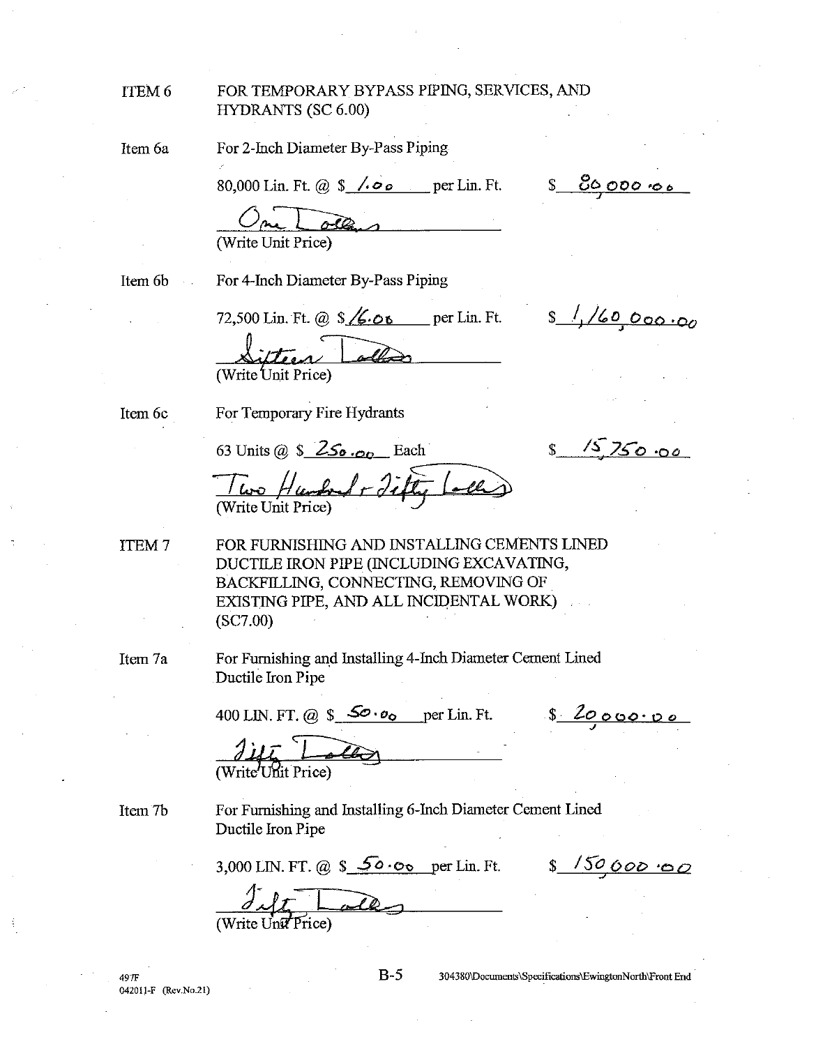| <b>ITEM 6</b> | FOR TEMPORARY BYPASS PIPING, SERVICES, AND<br><b>HYDRANTS (SC 6.00)</b> |          |
|---------------|-------------------------------------------------------------------------|----------|
| Item 6a       | For 2-Inch Diameter By-Pass Piping                                      |          |
|               | 80,000 Lin. Ft. @ $\frac{\sqrt{60}}{200}$ per Lin. Ft.                  | 60000006 |
|               |                                                                         |          |

(Write Unit Price)

Item 6b  $\sim$   $\sim$  For 4-Inch Diameter By-Pass Piping

72,500 Lin. Ft. @  $\sqrt{6.06}$  per Lin. Ft.

ifteen Colle (Write Unit Price)

Item 6c

For Temporary Fire Hydrants

63 Units @  $\frac{\mathsf{S}}{\mathsf{S}}$  250.00 Each

 $15750.00$  $\mathbb{S}$ 

 $s$  //60,000.00

Two Humbert Filty

FOR FURNISHING AND INSTALLING CEMENTS LINED ITEM<sub>7</sub> DUCTILE IRON PIPE (INCLUDING EXCAVATING, BACKFILLING, CONNECTING, REMOVING OF EXISTING PIPE, AND ALL INCIDENTAL WORK)  $(SC7.00)$ 

Item 7a

For Furnishing and Installing 4-Inch Diameter Cement Lined Ductile Iron Pipe

400 LIN. FT. @  $\frac{\mathcal{S}^{\bullet} \cdot o_{\mathbf{0}}}{\mathcal{S}^{\bullet} \cdot o_{\mathbf{0}}}$  per Lin. Ft.

8 2000000

Item 7b

For Furnishing and Installing 6-Inch Diameter Cement Lined Ductile Iron Pipe

3,000 LIN. FT. @ \$  $\frac{50.00}{8}$  per Lin. Ft. \$  $\frac{150,000}{8}$  50

 $H_{\text{inif}}$   $H$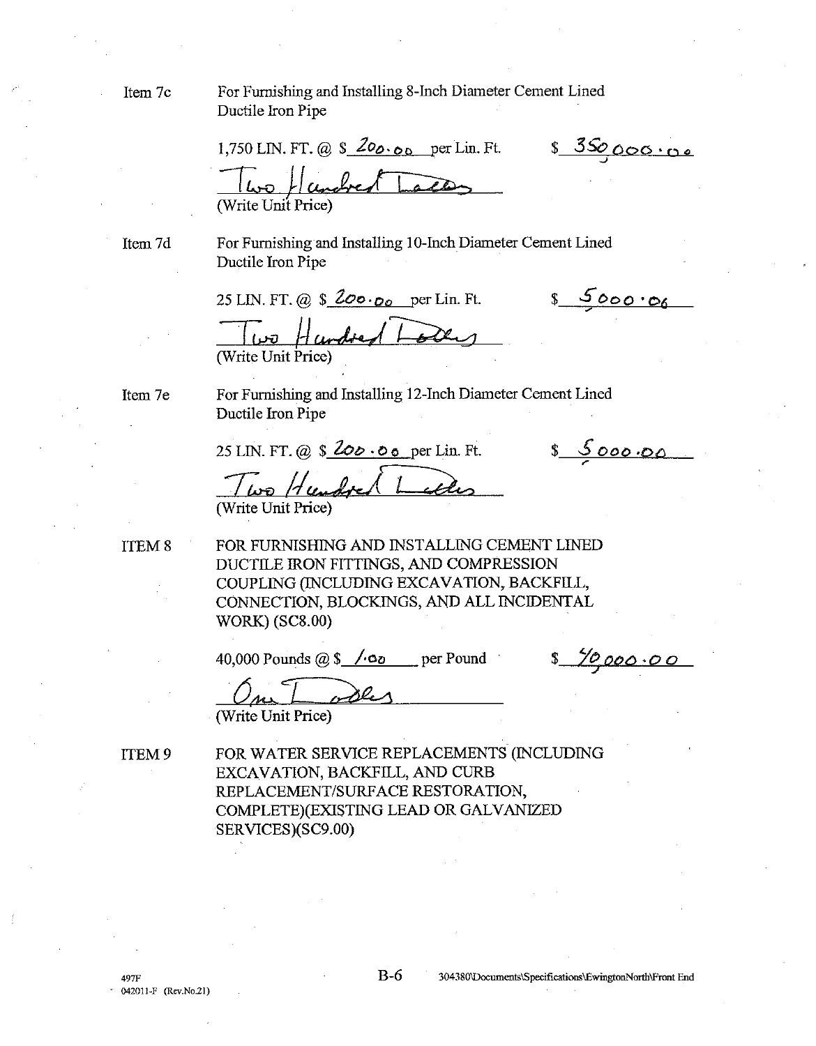Ifem 7c

Item 7d

Item 7e

**ITEM 8** 

For Furnishing and Installing 8-Inch Diameter Cement Lined Ductile Iron Pipe

8 350000.00 1,750 LIN. FT. @  $\frac{200}{00}$  o per Lin. Ft. (Write Unit Price) For Furnishing and Installing 10-Inch Diameter Cement Lined Ductile Iron Pipe 8 5000.00 25 LIN. FT. @  $$200 \cdot 00$  per Lin. Ft. Hundred L ا ھي آ (Write Unit Price) For Furnishing and Installing 12-Inch Diameter Cement Lined Ductile Iron Pipe  $8000000$ 25 LIN. FT. @  $$200.00$  per Lin. Ft. Two Hundred L (Write Unit Price) FOR FURNISHING AND INSTALLING CEMENT LINED DUCTILE IRON FITTINGS, AND COMPRESSION COUPLING (INCLUDING EXCAVATION, BACKFILL, CONNECTION, BLOCKINGS, AND ALL INCIDENTAL **WORK**) (SC8.00)

40,000 Pounds  $@S$  /  $@o$  per Pound

<u>70,000.00</u>

ables (Write Unit Price)

ITEM 9

FOR WATER SERVICE REPLACEMENTS (INCLUDING EXCAVATION, BACKFILL, AND CURB REPLACEMENT/SURFACE RESTORATION. COMPLETE)(EXISTING LEAD OR GALVANIZED SERVICES)(SC9.00)

 $B-6$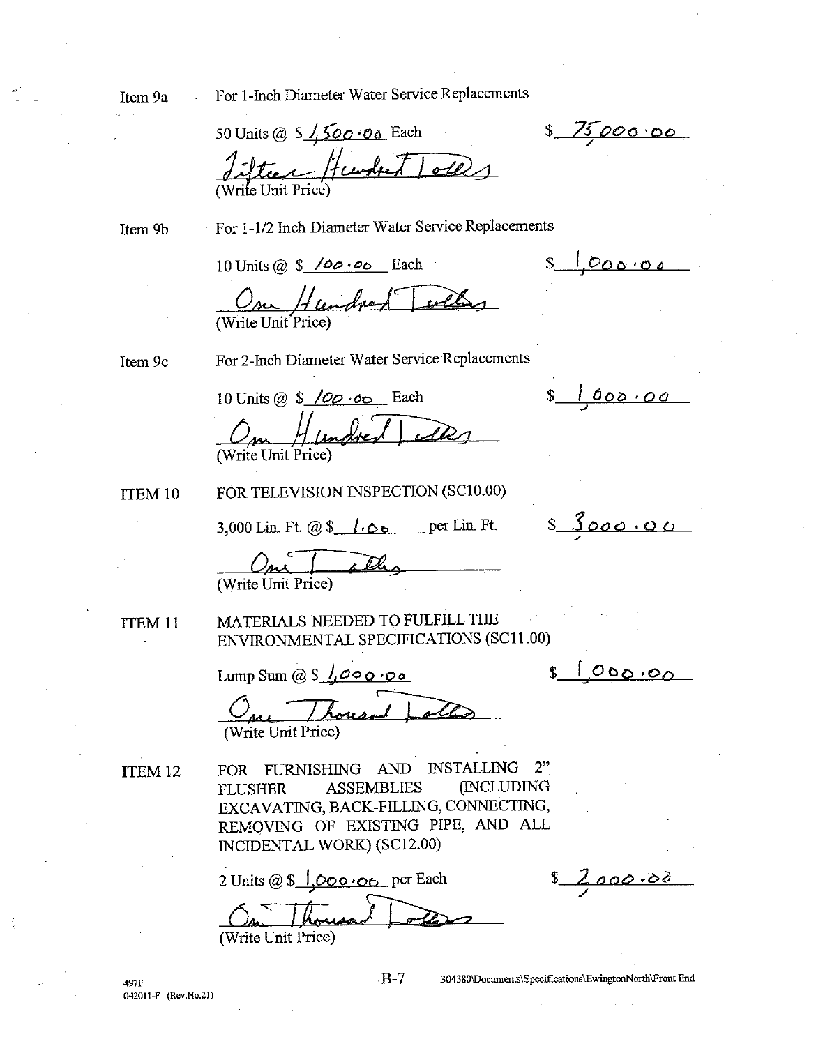Item 9a

For 1-Inch Diameter Water Service Replacements

50 Units @  $$1,500.00$  Each Silter Hundret Tolls

Item 9b

For 1-1/2 Inch Diameter Water Service Replacements

10 Units @  $$ /00.00$  Each

 $s$   $1000.00$ 

<u>s loop.oo</u>

8 75000.00

On Hundred Tolla

Item 9c

For 2-Inch Diameter Water Service Replacements

10 Units @  $\frac{\sqrt{QQ} \cdot 0}{\sqrt{Q}}$  Each In Hundred 1 (Write Unit Price)

**TTEM 10** 

FOR TELEVISION INSPECTION (SC10.00)

3,000 Lin. Ft.  $\omega$  \$  $\theta$  .  $\infty$  per Lin. Ft.

 $s_{000000}$ 

(Write Unit Price)

ITEM<sub>11</sub>

MATERIALS NEEDED TO FULFILL THE ENVIRONMENTAL SPECIFICATIONS (SC11.00)

Lump Sum @  $\sqrt{s}$   $\sqrt{s}$  000.00

<u>000.00</u>

One Thousand Jol

ITEM<sub>12</sub>

**497F** 

FOR FURNISHING AND INSTALLING  $2<sup>n</sup>$ (INCLUDING **ASSEMBLIES FLUSHER** EXCAVATING, BACK-FILLING, CONNECTING, REMOVING OF EXISTING PIPE, AND ALL INCIDENTAL WORK) (SC12.00)

2 Units @  $\frac{\sqrt{6}}{2}$  |  $\frac{\sqrt{6}}{2}$  o  $\frac{\sqrt{6}}{2}$  per Each (Write Unit Price)

<u>2,000.00</u>

042011-F (Rev.No.21)

 $B-7$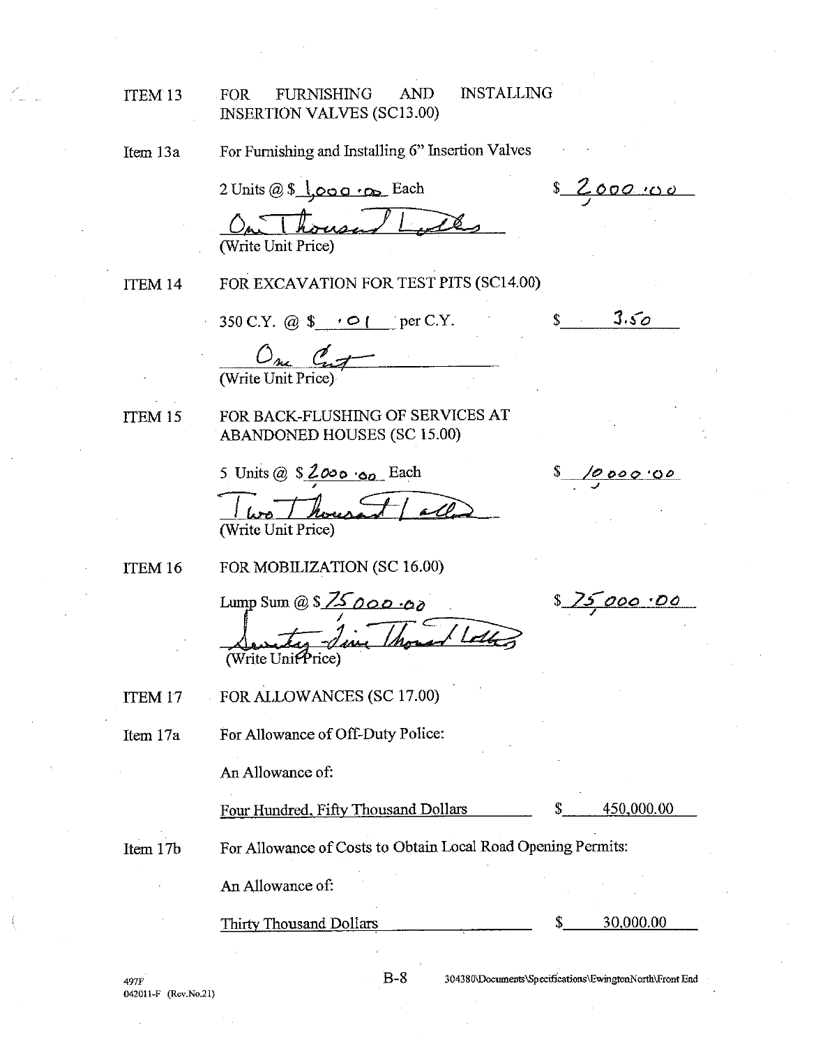#### **INSTALLING FOR FURNISHING AND** ITEM 13 **INSERTION VALVES (SC13.00)**

For Furnishing and Installing 6" Insertion Valves Item 13a

 $2$  Units @ \$  $\sqrt{0.00 \cdot \rho}$  Each (Write Unit Price)

ITEM 14

FOR EXCAVATION FOR TEST PITS (SC14.00)

350 C.Y. @  $\bullet \bullet \bullet \bullet$  per C.Y.

 $0<sub>nc</sub> 0<sub>n</sub>$ <br>(Write Unit Price)

ITEM 15

FOR BACK-FLUSHING OF SERVICES AT **ABANDONED HOUSES (SC 15.00)** 

5 Units @  $$2000 \cdot 00$  Each

housand all (Write Unit Price)

ITEM 16

FOR MOBILIZATION (SC 16.00)

Lump Sum @ \$  $75000000$ - Jim Thomas Lotte (Write Unit Price

FOR ALLOWANCES (SC 17.00) ITEM 17

For Allowance of Off-Duty Police: Item 17a

An Allowance of:

Four Hundred, Fifty Thousand Dollars

450,000.00

Item 17b

For Allowance of Costs to Obtain Local Road Opening Permits:

An Allowance of:

**Thirty Thousand Dollars** 

30,000.00

497F 042011-F (Rev.No.21) 304380\Documents\Specifications\EwingtonNorth\Front End

ፍ

 $8 / 0000.00$ 

8 75,000.00

<u>s 2000.00</u>

 $s \t3.50$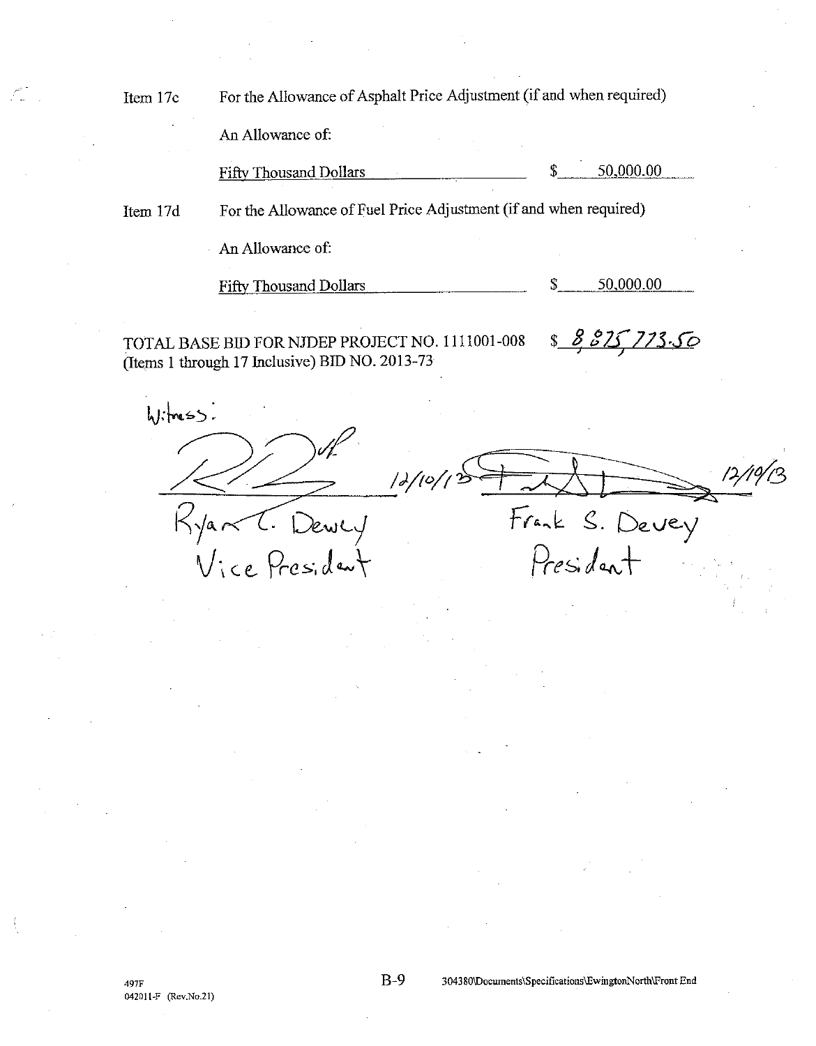For the Allowance of Asphalt Price Adjustment (if and when required) Item 17c

An Allowance of:

50,000.00 **Fifty Thousand Dollars** \$

For the Allowance of Fuel Price Adjustment (if and when required) Item 17d

An Allowance of:

**Fifty Thousand Dollars** 50,000.00 \$

TOTAL BASE BID FOR NJDEP PROJECT NO. 1111001-008 (Items 1 through 17 Inclusive) BID NO. 2013-73

<u>s 8 8 15 7 13.50</u>

 $h$ :  $m55$  $12/10/1$ Frank S. Devey<br>President  $K\sqrt{a}$ Dewly Vice Presiden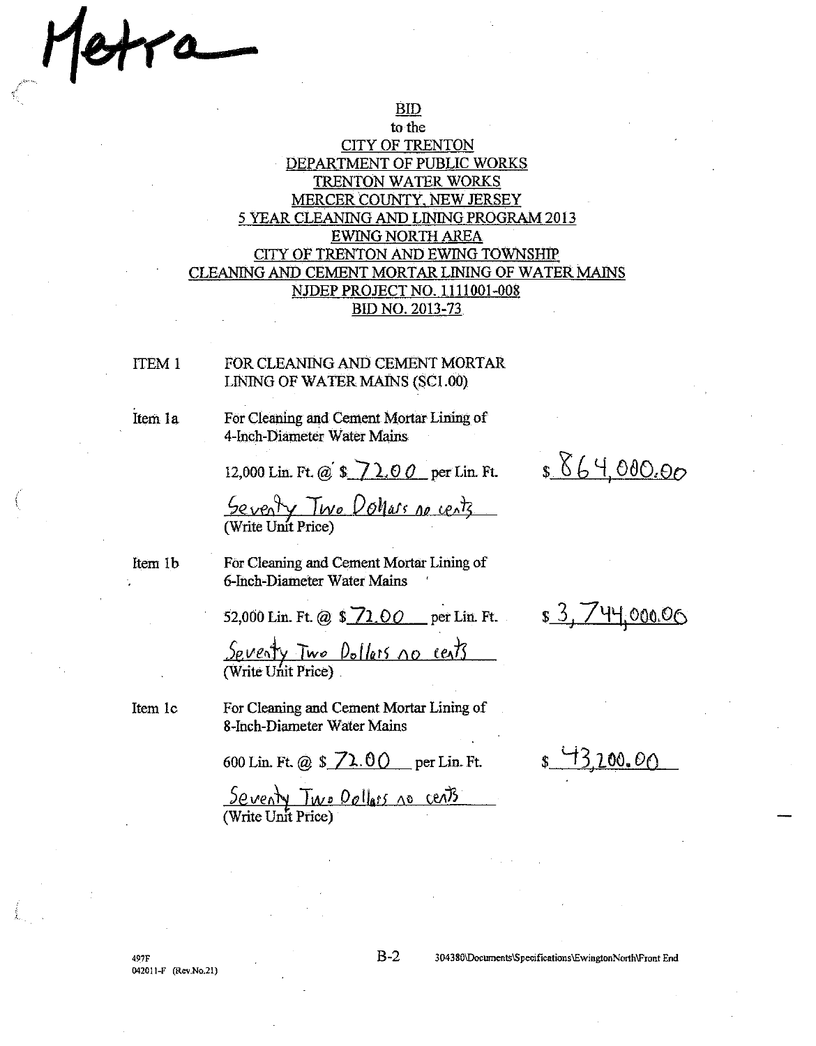ra

#### to the **CITY OF TRENTON** DEPARTMENT OF PUBLIC WORKS **TRENTON WATER WORKS** MERCER COUNTY, NEW JERSEY 5 YEAR CLEANING AND LINING PROGRAM 2013 **EWING NORTH AREA** CITY OF TRENTON AND EWING TOWNSHIP CLEANING AND CEMENT MORTAR LINING OF WATER MAINS NJDEP PROJECT NO. 1111001-008 BID NO. 2013-73

**BID** 

FOR CLEANING AND CEMENT MORTAR ITEM<sub>1</sub> LINING OF WATER MAINS (SC1.00)

For Cleaning and Cement Mortar Lining of

4-Inch-Diameter Water Mains

12,000 Lin. Ft. @  $\sqrt{$}$   $\sqrt{$}$  0.00 per Lin. Ft.

Seventy Two Dollars no cents

Item 1b

Item 1c

Item 1a

For Cleaning and Cement Mortar Lining of 6-Inch-Diameter Water Mains

52,000 Lin. Ft. @ \$ 72.00 per Lin. Ft.

<u>Seventy Two Dollars no cents</u> (Write Unit Price)

For Cleaning and Cement Mortar Lining of 8-Inch-Diameter Water Mains

600 Lin. Ft. @  $$72.00$  per Lin. Ft.

Seventy Two Dollars 10 cents

\$864,000,00

\$ 3, 744,000.00

3.200.00

497F 042011-F (Rev.No.21)  $B-2$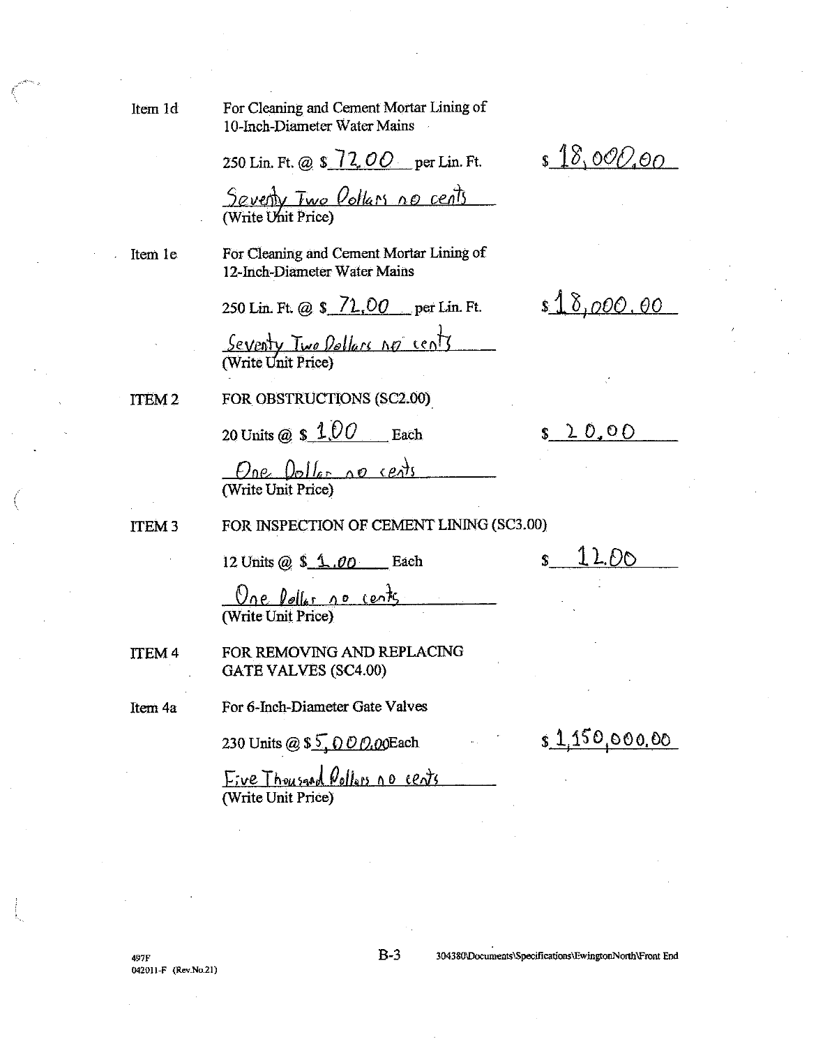Item 1d

For Cleaning and Cement Mortar Lining of 10-Inch-Diameter Water Mains

250 Lin. Ft. @ \$ 72,00 per Lin. Ft.

 $18,000,00$ 

Seventy Two Oollars no cents

Item 1e

For Cleaning and Cement Mortar Lining of 12-Inch-Diameter Water Mains

250 Lin. Ft. @ \$72,00 per Lin. Ft.

 $$18,000,00$ 

Seventy Two Dollars no cents

ITEM<sub>2</sub>

FOR OBSTRUCTIONS (SC2.00)

20 Units @  $$1,00$  Each

 $$20.00$ 

 $One$   $0$ <sub>o</sub> $1$  $6 - 10$   $10$   $10$ 

FOR INSPECTION OF CEMENT LINING (SC3.00) **ITEM3** 

12 Units @  $$ 1.00$  Each

 $12.00$ 

One Poller no cents

FOR REMOVING AND REPLACING **ITEM4 GATE VALVES (SC4.00)** 

For 6-Inch-Diameter Gate Valves Item 4a

230 Units @ \$5, 000.00Each

\$1,150,000.00

Eive Thousand Pollons no cents (Write Unit Price)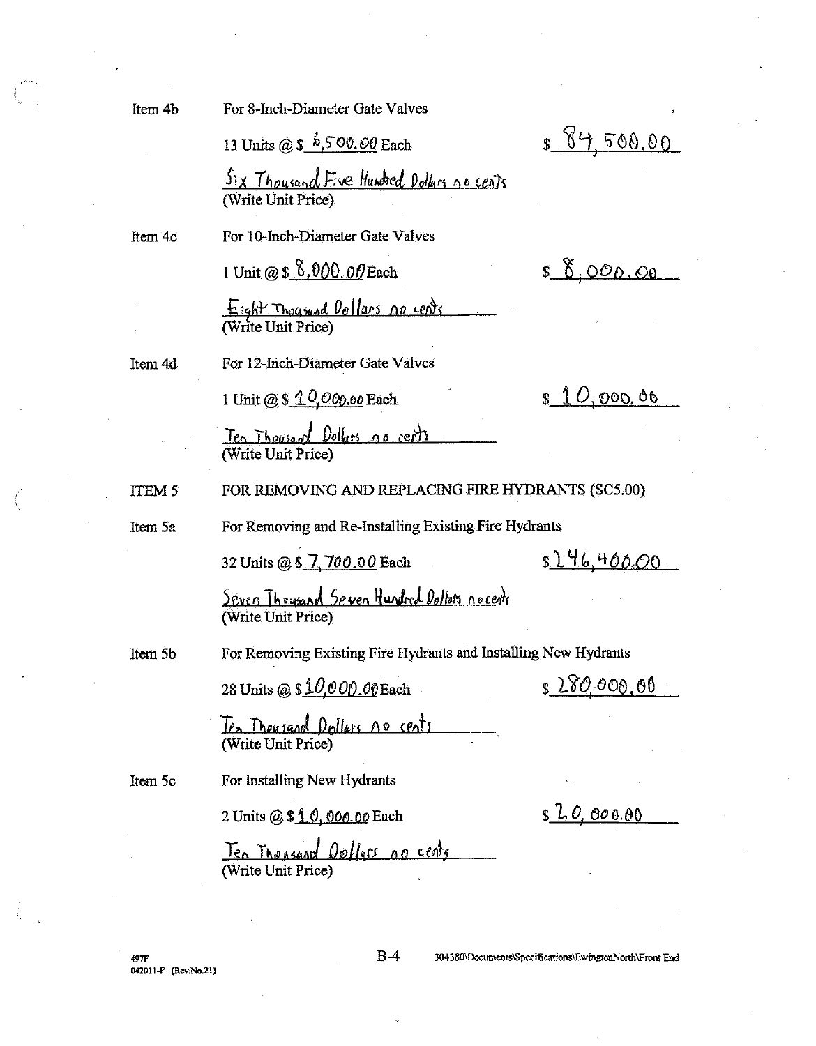Item 4b

For 8-Inch-Diameter Gate Valves

13 Units @  $\hat{s}$ , 500.00 Each

<u>Six Thousand Five Hundred Dollars no cents</u>

Item 4c

For 10-Inch-Diameter Gate Valves

1 Unit @ \$ 6,000.00 Each

Eight Thousand Dollars no cents

For 12-Inch-Diameter Gate Valves Item 4d

1 Unit @ \$ 10,000,00 Each

 $$0.000, 00$ 

 $$10,000,06$ 

 $8950000$ 

Ten Thouse of Dollars as cents<br>(Write Unit Price)

ITEM<sub>5</sub> FOR REMOVING AND REPLACING FIRE HYDRANTS (SC5.00)

For Removing and Re-Installing Existing Fire Hydrants

Item 5a

32 Units @ \$ 7, 700.00 Each

\$146,400.00

Seven Thousand Seven Hundred Dollars nocents<br>(Write Unit Price)

Item 5b

For Removing Existing Fire Hydrants and Installing New Hydrants

28 Units @  $$10,000.00$  Each

\$280,000.00

Ten Thousand Dollars 10 cents<br>(Write Unit Price)

Item 5c

2 Units @ \$ 1.0, 000.00 Each

For Installing New Hydrants

 $$2,0,000.00$ 

Ten Thomsand Oullers no cents

497F 042011-F (Rev.No.21)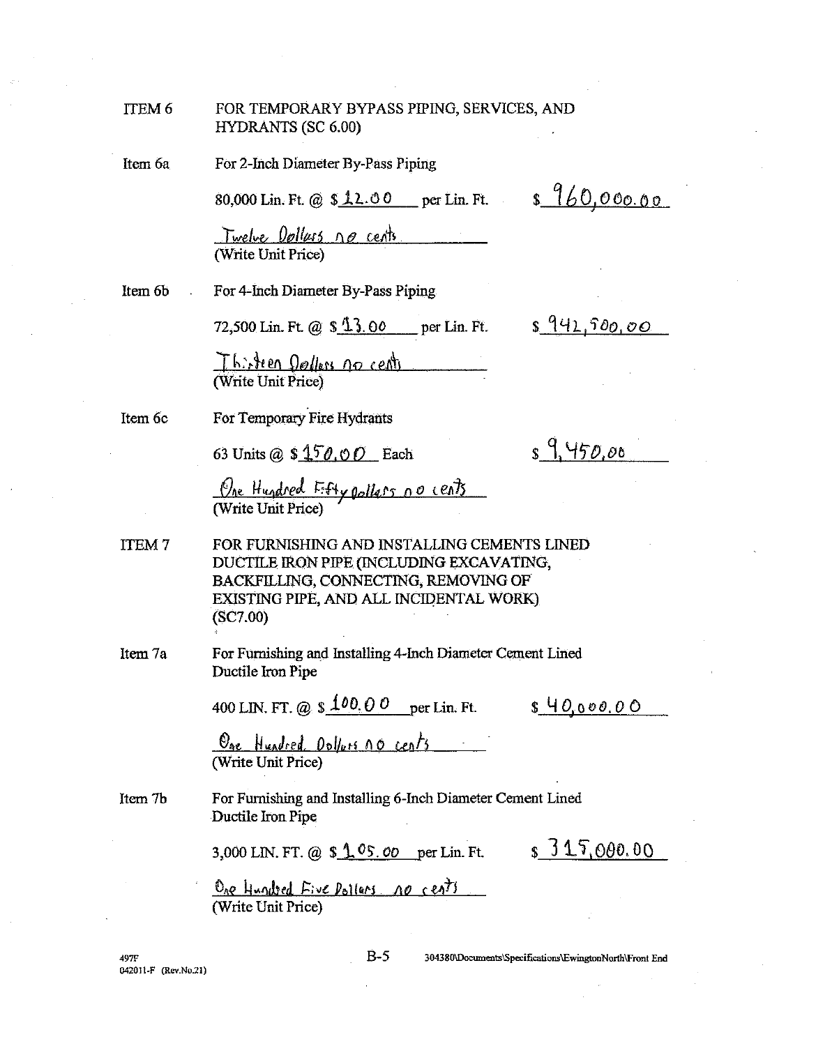| ITEM 6 | FOR TEMPORARY BYPASS PIPING, SERVICES, AND |  |
|--------|--------------------------------------------|--|
|        | HYDRANTS (SC 6.00)                         |  |

Item 6a

For 2-Inch Diameter By-Pass Piping

80,000 Lin. Ft. @ \$12.00 per Lin. Ft.

 $$960,000.00$ 

Twelve Dollars no cents

Item 6b

For 4-Inch Diameter By-Pass Piping

72,500 Lin. Ft. @ \$ 13.00 per Lin. Ft.

 $8942,500,00$ 

Thirsteen Dollers no cent

Item 6c

For Temporary Fire Hydrants

63 Units @ \$150,00 Each

 $s9.450.00$ 

One Hundred Esty pollars no cents

**ITEM7** FOR FURNISHING AND INSTALLING CEMENTS LINED DUCTILE IRON PIPE (INCLUDING EXCAVATING, BACKFILLING, CONNECTING, REMOVING OF EXISTING PIPE, AND ALL INCIDENTAL WORK)  $(SC7.00)$ 

Item 7a For Furnishing and Installing 4-Inch Diameter Cement Lined Ductile Iron Pipe

400 LIN, FT, @ \$  $100.00$  per Lin, Ft. \$ 40,000,00

One Hundred Dollars no cents

For Furnishing and Installing 6-Inch Diameter Cement Lined Item 7b Ductile Iron Pipe

3,000 LIN. FT. @ \$ 1.05.00 per Lin. Ft.

 $$315,000.00$ 

One Hundred Five Pollers no cents (Write Unit Price)

497F 042011-F (Rev.No.21)  $B-5$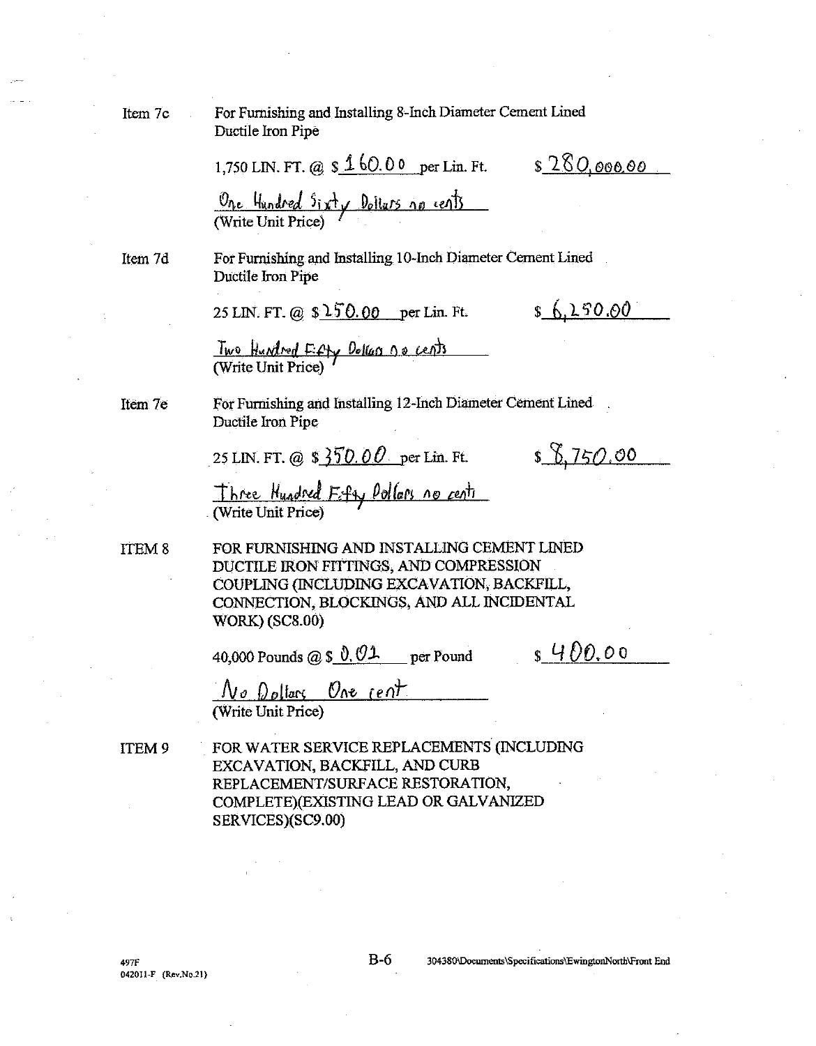| Item 7c           | For Furnishing and Installing 8-Inch Diameter Cement Lined<br>Ductile Iron Pipe                                                                                                                         |  |  |
|-------------------|---------------------------------------------------------------------------------------------------------------------------------------------------------------------------------------------------------|--|--|
|                   | <u>s 280,000.00</u><br>1,750 LIN. FT. @ \$160.00 per Lin. Ft.                                                                                                                                           |  |  |
|                   | One Hundred Sixty Dollars no cents                                                                                                                                                                      |  |  |
| Item 7d           | For Furnishing and Installing 10-Inch Diameter Cement Lined<br>Ductile Iron Pipe                                                                                                                        |  |  |
|                   | \$6,250.00<br>25 LIN. FT. @ \$150.00 per Lin. Ft.                                                                                                                                                       |  |  |
|                   | Two Hundred Eifty Delcas 10 cents                                                                                                                                                                       |  |  |
| Item 7e           | For Furnishing and Installing 12-Inch Diameter Cement Lined<br>Ductile Iron Pipe                                                                                                                        |  |  |
|                   | \$8,750.00<br>25 LIN. FT. @ \$ $350.00$ per Lin. Ft.                                                                                                                                                    |  |  |
|                   | Three Hundred Fifty Pollors no cents<br>(Write Unit Price)                                                                                                                                              |  |  |
| ITEM <sub>8</sub> | FOR FURNISHING AND INSTALLING CEMENT LINED<br>DUCTILE IRON FITTINGS, AND COMPRESSION<br>COUPLING (INCLUDING EXCAVATION, BACKFILL,<br>CONNECTION, BLOCKINGS, AND ALL INCIDENTAL<br><b>WORK) (SC8.00)</b> |  |  |
|                   | s 400.00<br>40,000 Pounds @ $\frac{\sqrt{0.01}}{20}$ per Pound                                                                                                                                          |  |  |
|                   | $N$ o Dollars One cent<br>(Write Unit Price)                                                                                                                                                            |  |  |
| ITEM <sub>9</sub> | FOR WATER SERVICE REPLACEMENTS (INCLUDING<br>EXCAVATION, BACKFILL, AND CURB<br>REPLACEMENT/SURFACE RESTORATION,<br>COMPLETE)(EXISTING LEAD OR GALVANIZED<br>SERVICES)(SC9.00)                           |  |  |

 $B-6$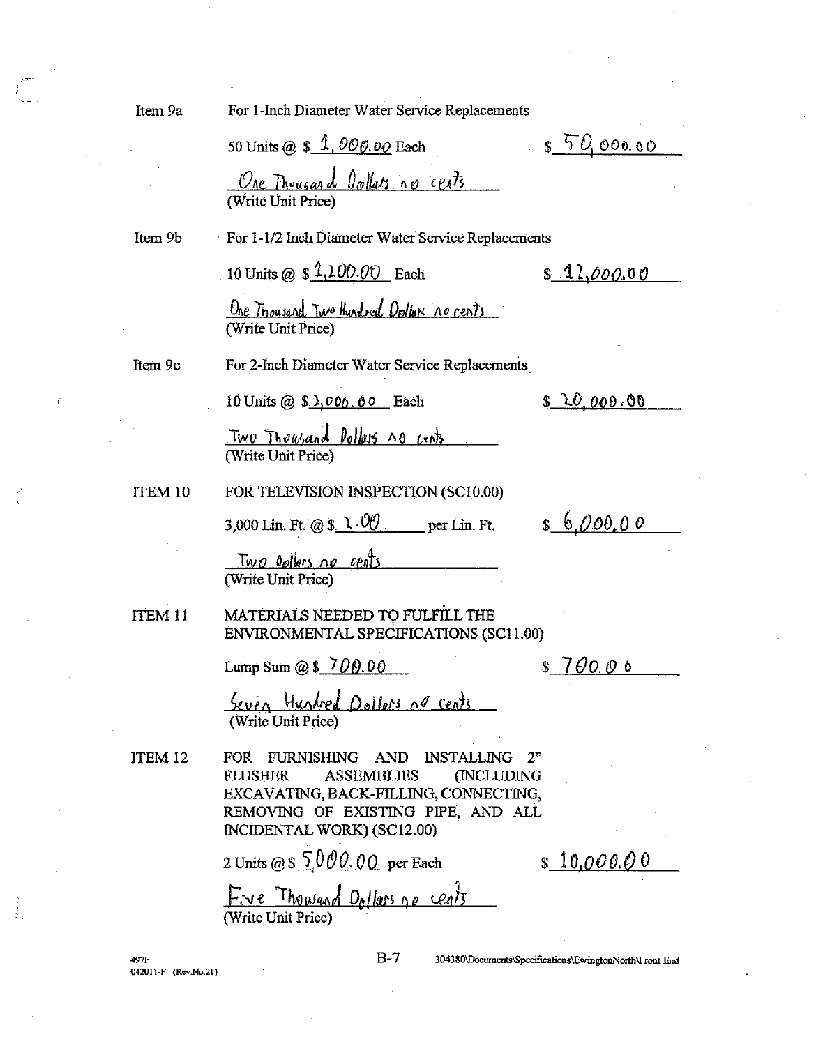| Item 9a            | For 1-Inch Diameter Water Service Replacements                                                                                                                                                         |
|--------------------|--------------------------------------------------------------------------------------------------------------------------------------------------------------------------------------------------------|
|                    | 5000000<br>50 Units @ \$ 1, 000.00 Each                                                                                                                                                                |
|                    | One Thousand Dollars no cents<br>(Write Unit Price)                                                                                                                                                    |
| Item 9b            | For 1-1/2 Inch Diameter Water Service Replacements                                                                                                                                                     |
|                    | 10 Units @ $$1,100.00$ Each<br>\$11,000.00                                                                                                                                                             |
|                    | <u>One Thousand Two Hundred Oplan no cents</u><br>(Write Unit Price)                                                                                                                                   |
| Item 9c            | For 2-Inch Diameter Water Service Replacements                                                                                                                                                         |
|                    | S 20,000.00<br>10 Units $@S\lambda.000.00$ Each                                                                                                                                                        |
|                    | <u>Two Thousand Dollars no cents</u><br>(Write Unit Price)                                                                                                                                             |
| ITEM 10            | FOR TELEVISION INSPECTION (SC10.00)                                                                                                                                                                    |
|                    | \$6,000,00<br>3,000 Lin. Ft. @ $\frac{\sqrt{6}}{2}$ . 00 per Lin. Ft.                                                                                                                                  |
|                    | <u>Two pollers no cents</u><br>(Write Unit Price)                                                                                                                                                      |
| ITEM <sub>11</sub> | MATERIALS NEEDED TO FULFILL THE<br>ENVIRONMENTAL SPECIFICATIONS (SC11.00)                                                                                                                              |
|                    | Lump Sum @ \$ 700.00<br>$7\theta$ 0.06<br>\$                                                                                                                                                           |
|                    | Seven Hundred Dollars no cents<br>(Write Unit Price)                                                                                                                                                   |
| ITEM 12            | FOR FURNISHING AND INSTALLING<br><b>FLUSHER</b><br><b>ASSEMBLIES</b><br>(INCLUDING<br>EXCAVATING, BACK-FILLING, CONNECTING,<br>REMOVING OF EXISTING PIPE, AND ALL<br><b>INCIDENTAL WORK) (SC12.00)</b> |
|                    | 2 Units @ \$ 5,000.00 per Each<br>s 10,000.00                                                                                                                                                          |
|                    | Fre Thousand Dollars no cents<br>(Write Unit Price)                                                                                                                                                    |

497F<br>042011-F (Rev.No.21)

 $\bar{\zeta}$ 

J.

 $B-7$ 

 $\hat{\boldsymbol{\gamma}}$  $\sim$  304380\Documents\Specifications\EwingtonNorth\Front End

ı,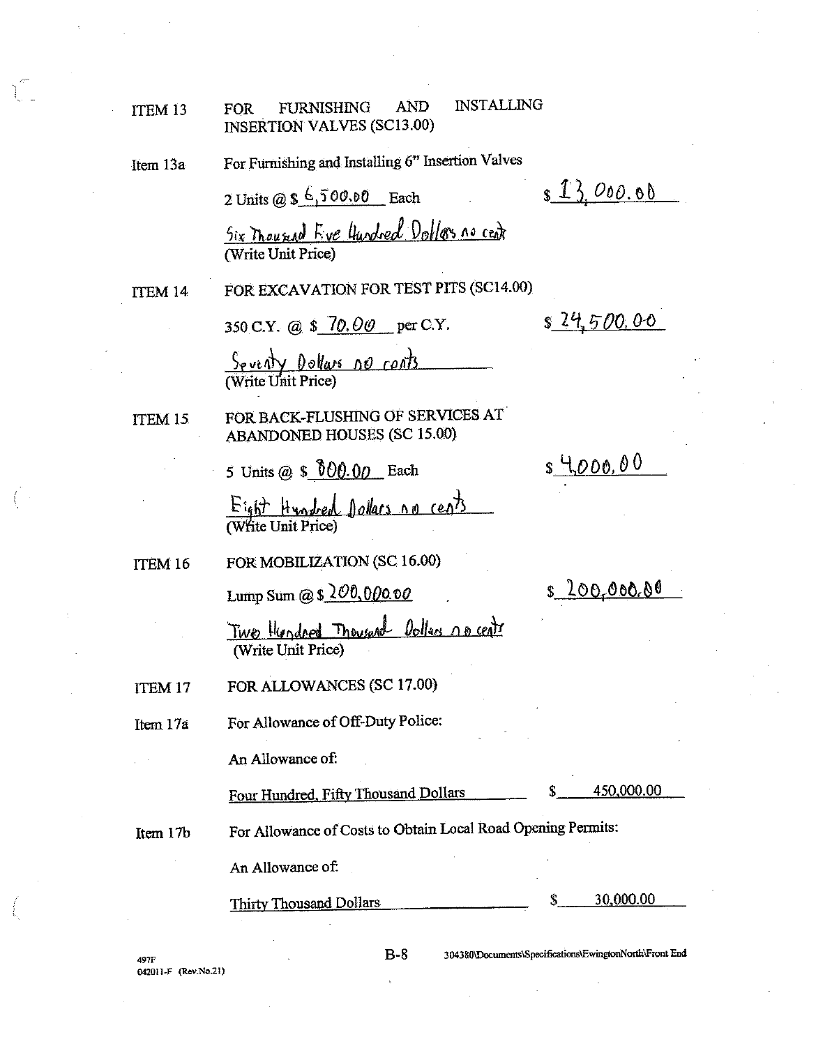| ITEM <sub>13</sub> | FURNISHING<br>AND<br><b>INSTALLING</b><br><b>FOR</b><br><b>INSERTION VALVES (SC13.00)</b> |                                                         |
|--------------------|-------------------------------------------------------------------------------------------|---------------------------------------------------------|
| Item 13a           | For Furnishing and Installing 6" Insertion Valves                                         |                                                         |
|                    | 2 Units @ $$6,500.00$ Each                                                                | \$13.000.00                                             |
|                    | Six Thousand Eve Undred Dollars no cent<br>(Write Unit Price)                             |                                                         |
| ITEM 14            | FOR EXCAVATION FOR TEST PITS (SC14.00)                                                    |                                                         |
|                    | 350 C.Y. @ \$ 70.00 per C.Y.                                                              | \$24,500,00                                             |
|                    | <u>Seventy Dollars no conts</u>                                                           |                                                         |
| ITEM 15            | FOR BACK-FLUSHING OF SERVICES AT<br><b>ABANDONED HOUSES (SC 15.00)</b>                    |                                                         |
|                    | 5 Units @ \$ $0.00$ Each                                                                  | <u>s 4,000.00</u>                                       |
|                    | Eight Hundred Dollars no cents                                                            |                                                         |
| ITEM 16            | FOR MOBILIZATION (SC 16.00)                                                               |                                                         |
|                    | Lump Sum @ $$200,00000$                                                                   | \$ <u>200,000.00</u>                                    |
|                    | Two Hundred Thousand Dollars no cent<br>(Write Unit Price)                                |                                                         |
| <b>ITEM 17</b>     | FOR ALLOWANCES (SC 17.00)                                                                 |                                                         |
| Item 17a           | For Allowance of Off-Duty Police:                                                         |                                                         |
|                    | An Allowance of:                                                                          |                                                         |
|                    | Four Hundred, Fifty Thousand Dollars                                                      | 450,000.00                                              |
| Item 17b           | For Allowance of Costs to Obtain Local Road Opening Permits:                              |                                                         |
|                    | An Allowance of:                                                                          |                                                         |
|                    | <b>Thirty Thousand Dollars</b>                                                            | 30,000.00<br>S                                          |
|                    | R-R                                                                                       | 304380\Dreaments\Snecifications\EwingtonNorth\Front End |
|                    |                                                                                           |                                                         |

497F<br>042011-F (Rev.No.21)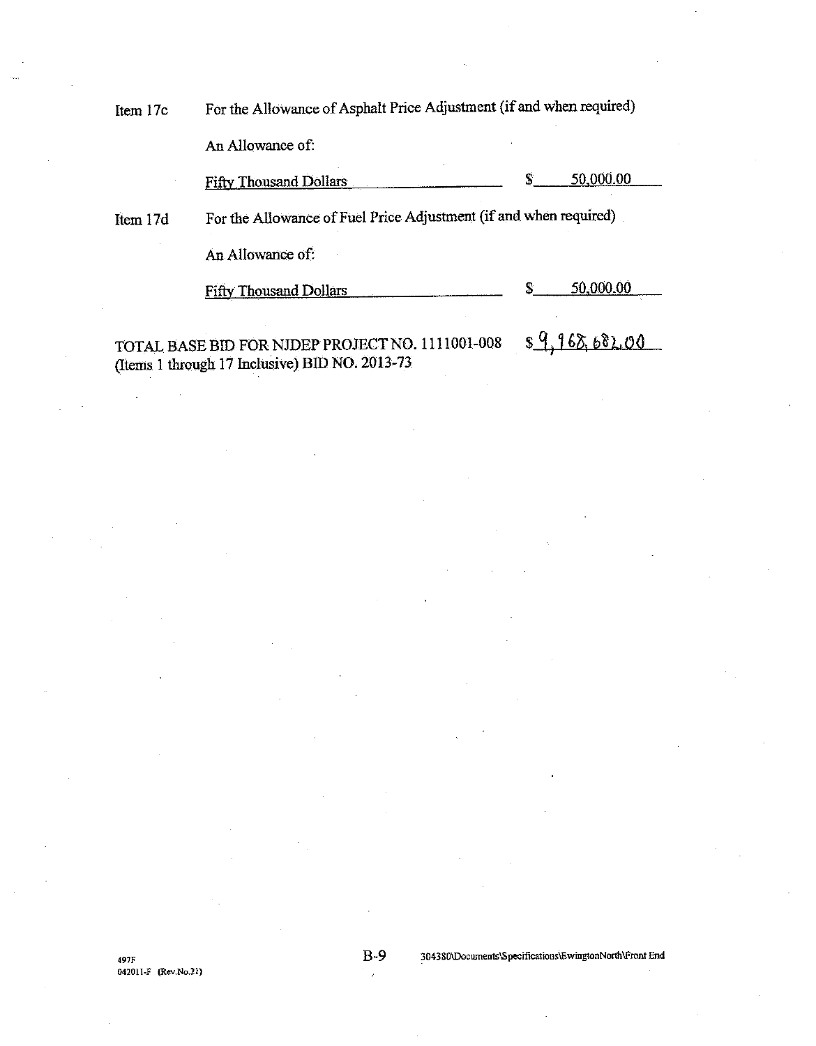For the Allowance of Asphalt Price Adjustment (if and when required) Item 17c

An Allowance of:

50,000.00 **Fifty Thousand Dollars** S

For the Allowance of Fuel Price Adjustment (if and when required) Item 17d

An Allowance of:

50,000.00 \$ **Fifty Thousand Dollars** 

 $89,968,682,00$ TOTAL BASE BID FOR NIDEP PROJECT NO. 1111001-008 (Items 1 through 17 Inclusive) BID NO. 2013-73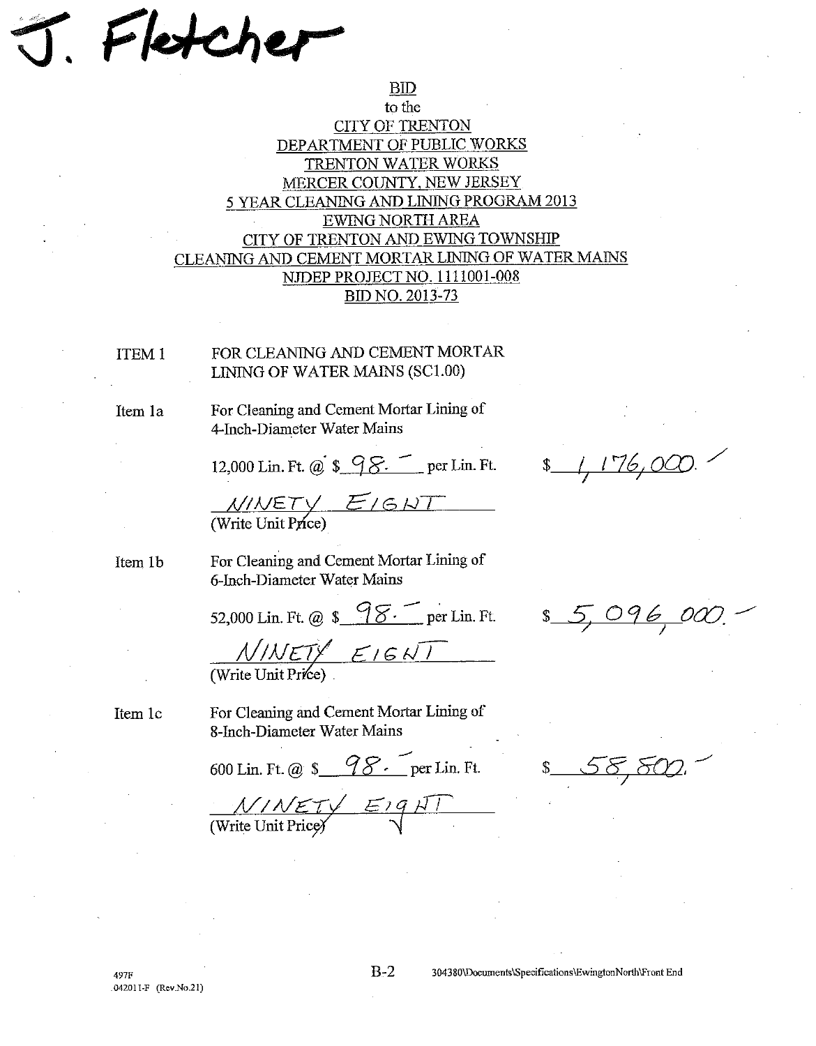Fletch

## to the **CITY OF TRENTON** DEPARTMENT OF PUBLIC WORKS TRENTON WATER WORKS MERCER COUNTY, NEW JERSEY 5 YEAR CLEANING AND LINING PROGRAM 2013 EWING NORTH AREA CITY OF TRENTON AND EWING TOWNSHIP CLEANING AND CEMENT MORTAR LINING OF WATER MAINS NJDEP PROJECT NO. 1111001-008 **BID NO. 2013-73**

 $BID$ 

**ITEM 1** 

FOR CLEANING AND CEMENT MORTAR LINING OF WATER MAINS (SC1.00)

Item 1a

For Cleaning and Cement Mortar Lining of 4-Inch-Diameter Water Mains

12,000 Lin. Ft. @ \$ 98. per Lin. Ft.

 $\frac{\cancel{N}/\cancel{NET}}{\cancel{N}}$  (Write Unit Price)

Item 1b

Item 1c

For Cleaning and Cement Mortar Lining of 6-Inch-Diameter Water Mains

52,000 Lin. Ft. @ \$ 98. per Lin. Ft.

 $\frac{N/NET}{N}$   $\leq$   $1 \leq N$ 

For Cleaning and Cement Mortar Lining of 8-Inch-Diameter Water Mains

600 Lin. Ft. @ \$ 98. per Lin. Ft.

\$ 5,096,00

 $\frac{17600}{176000}$ 

 $\frac{N/N}{N}$  Eig $N$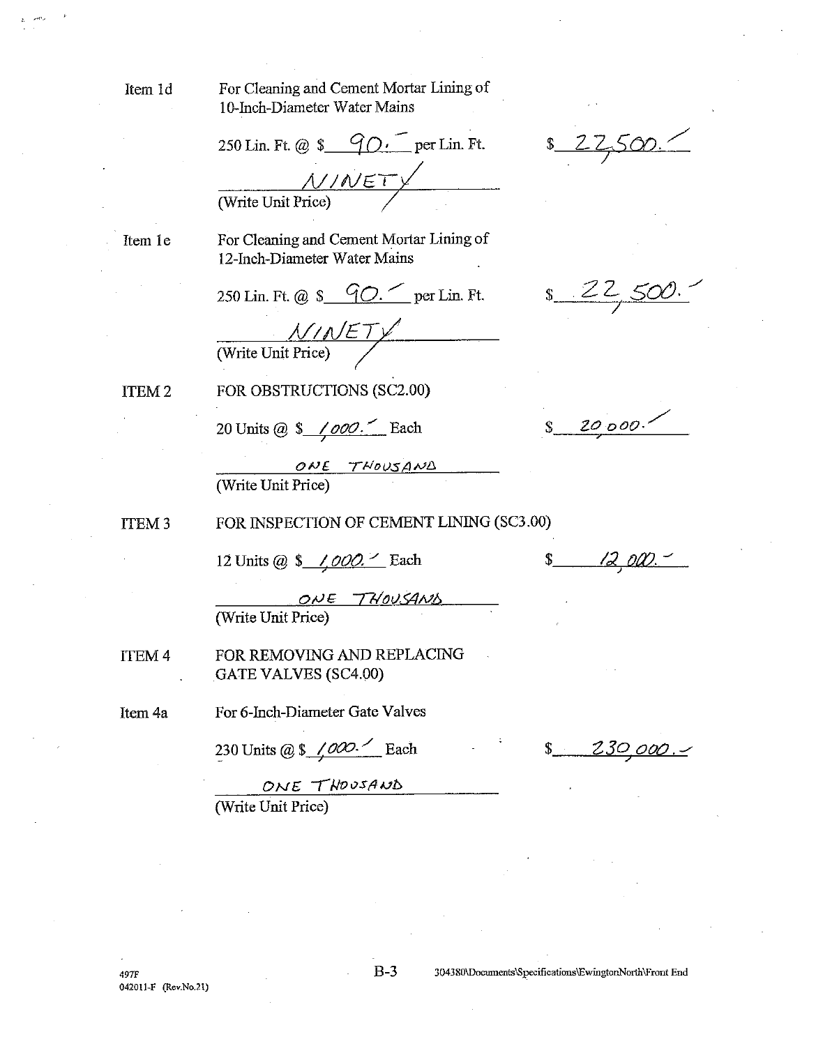Item 1d

For Cleaning and Cement Mortar Lining of 10-Inch-Diameter Water Mains

250 Lin. Ft. @  $\frac{90}{5}$   $\frac{90}{5}$  per Lin. Ft. NINETY (Write Unit Price)

Item 1e

For Cleaning and Cement Mortar Lining of 12-Inch-Diameter Water Mains

250 Lin. Ft. @ \$ 90. per Lin. Ft.

 $\frac{\mathcal{N}}{\text{(Write Unit Price)}}$ 

ITEM<sub>2</sub>

FOR OBSTRUCTIONS (SC2.00)

20 Units @  $\frac{\sqrt{000}}{1}$  Each

ONE THOUSAND (Write Unit Price)

FOR INSPECTION OF CEMENT LINING (SC3.00) ITEM<sub>3</sub>

12 Units @ \$ /000. Each

ONE THOUSAND (Write Unit Price)

**ITEM 4** FOR REMOVING AND REPLACING GATE VALVES (SC4.00)

For 6-Inch-Diameter Gate Valves Item 4a

230 Units @ \$ 1000.<sup>1</sup> Each

 $8 - 230,000.$ 

 $225$ 

 $\int$  20000.

 $s$  12 000.

ONE THOUSAND (Write Unit Price)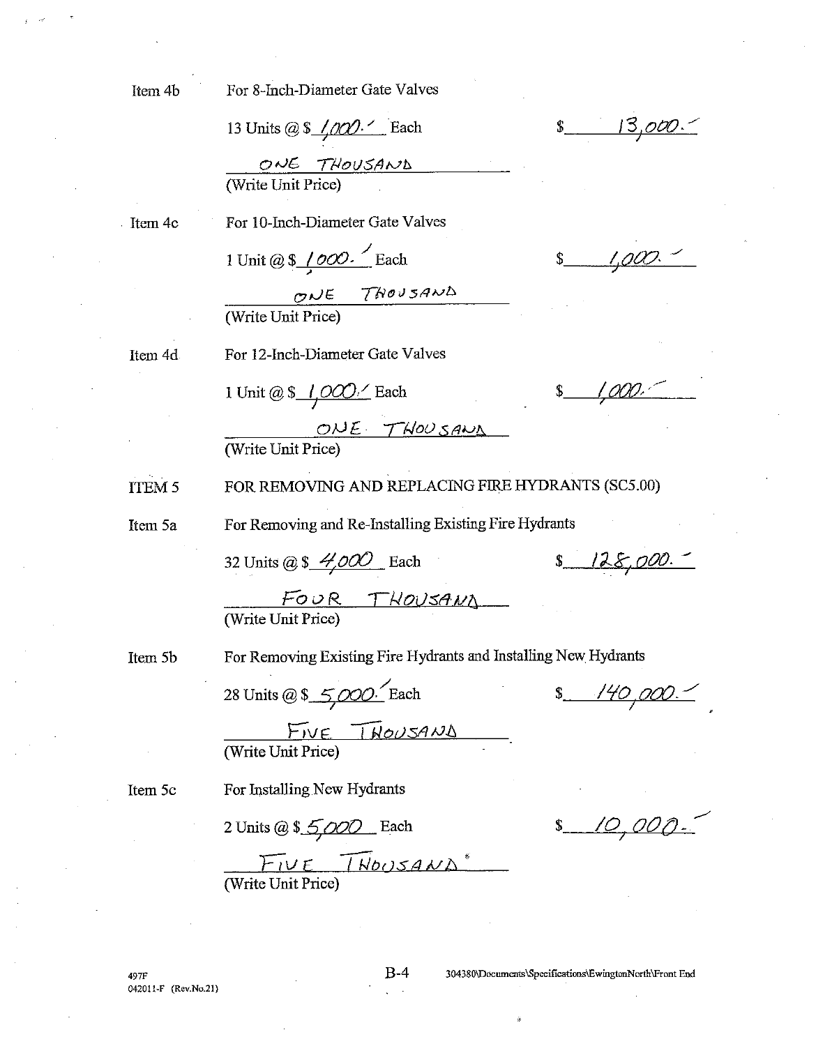For 8-Inch-Diameter Gate Valves

13 Units @  $\frac{\sqrt{00}}{1}$  Each  $\frac{O\sqrt{E} \quad \text{THOUSAND}}{\text{(Write Unit Price)}}$ 

Item 4c

For 10-Inch-Diameter Gate Valves

1 Unit @ \$  $1000$ . Each

ONE THOUSAND (Write Unit Price)

Item 4d

For 12-Inch-Diameter Gate Valves

1 Unit @  $\frac{\sqrt{O}}{1}$  Each

 $$1,000.$ 

 $s$  1,000.

 $s = 13,000.$ 

 $\overline{OWE}$  T  $\overline{MOO}$  S  $\overline{ANO}$ 

**ITEM 5** FOR REMOVING AND REPLACING FIRE HYDRANTS (SC5.00)

For Removing and Re-Installing Existing Fire Hydrants

For Removing Existing Fire Hydrants and Installing New Hydrants

Item 5a

32 Units @ \$  $4,000$  Each

 $8 128,000.$ 

FOUR THOUSAND (Write Unit Price)

Item 5b

28 Units @ \$ 5,000. Each

 $$140,000.$ 

 $$10,000.$ 

 $M = \frac{\sum_{V} F(V)}{\sum_{V} P(V)}$ 

Item 5c

For Installing New Hydrants

2 Units @ \$ 5,000 Each

 $F_{1}U E$  [ $W_{2}A W \Delta^*$ ]<br>(Write Unit Price)

497F 042011-F (Rev.No.21)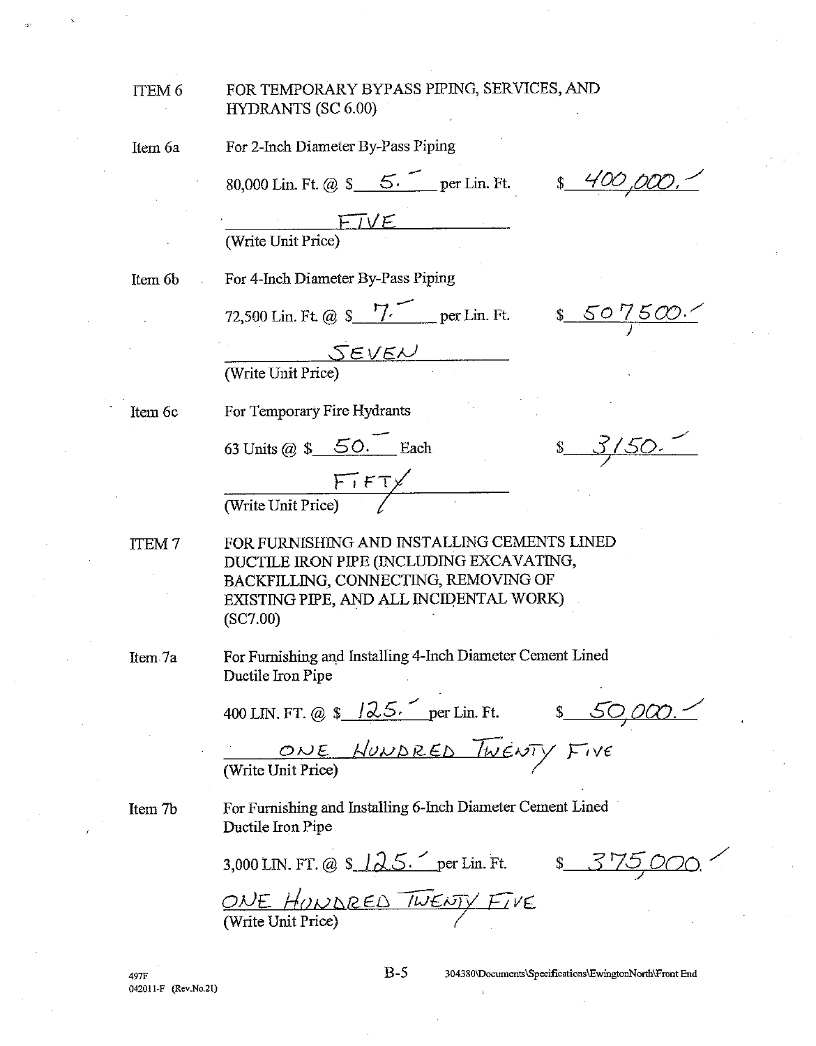## ITEM 6

#### FOR TEMPORARY BYPASS PIPING, SERVICES, AND **HYDRANTS (SC 6.00)**

Item 6a

For 2-Inch Diameter By-Pass Piping

80,000 Lin. Ft. @  $\frac{\mathcal{S}}{2}$  5. per Lin. Ft.

 $\frac{1}{2}$  400

 $FIVE$ (Write Unit Price)

Item 6<sub>b</sub>

For 4-Inch Diameter By-Pass Piping

72,500 Lin. Ft. @ \$ 7. per Lin. Ft. \$ 50 7500.

 $SEVEV$ (Write Unit Price)

Item 6c

For Temporary Fire Hydrants

63 Units @  $\frac{\sqrt{50.}}{\sqrt{50}}$  Each

 $\frac{\sqrt{1 + \sqrt{1 + \sqrt{1 + \frac{1}{\sqrt{1 + \frac{1}{\sqrt{1 + \frac{1}{\sqrt{1 + \frac{1}{\sqrt{1 + \frac{1}{\sqrt{1 + \frac{1}{\sqrt{1 + \frac{1}{\sqrt{1 + \frac{1}{\sqrt{1 + \frac{1}{\sqrt{1 + \frac{1}{\sqrt{1 + \frac{1}{\sqrt{1 + \frac{1}{\sqrt{1 + \frac{1}{\sqrt{1 + \frac{1}{\sqrt{1 + \frac{1}{\sqrt{1 + \frac{1}{\sqrt{1 + \frac{1}{\sqrt{1 + \frac{1}{\sqrt{1 + \frac{1}{\sqrt{1 + \frac{1}{\sqrt{1 + \frac{$ 

FOR FURNISHING AND INSTALLING CEMENTS LINED **ITEM7** DUCTILE IRON PIPE (INCLUDING EXCAVATING, BACKFILLING, CONNECTING, REMOVING OF EXISTING PIPE, AND ALL INCIDENTAL WORK)  $(SC7.00)$ 

Item 7a

For Furnishing and Installing 4-Inch Diameter Cement Lined Ductile Iron Pipe

400 LIN. FT. @ \$ 125. per Lin. Ft. \$ 50,000.

ONE HONDRED TWENTY FIVE

Item 7b

For Furnishing and Installing 6-Inch Diameter Cement Lined Ductile Iron Pipe

3,000 LIN. FT. @ \$  $125.$  per Lin. Ft. \$  $375,000$ .

ONE HONDRED TWENTY FIVE (Write Unit Price)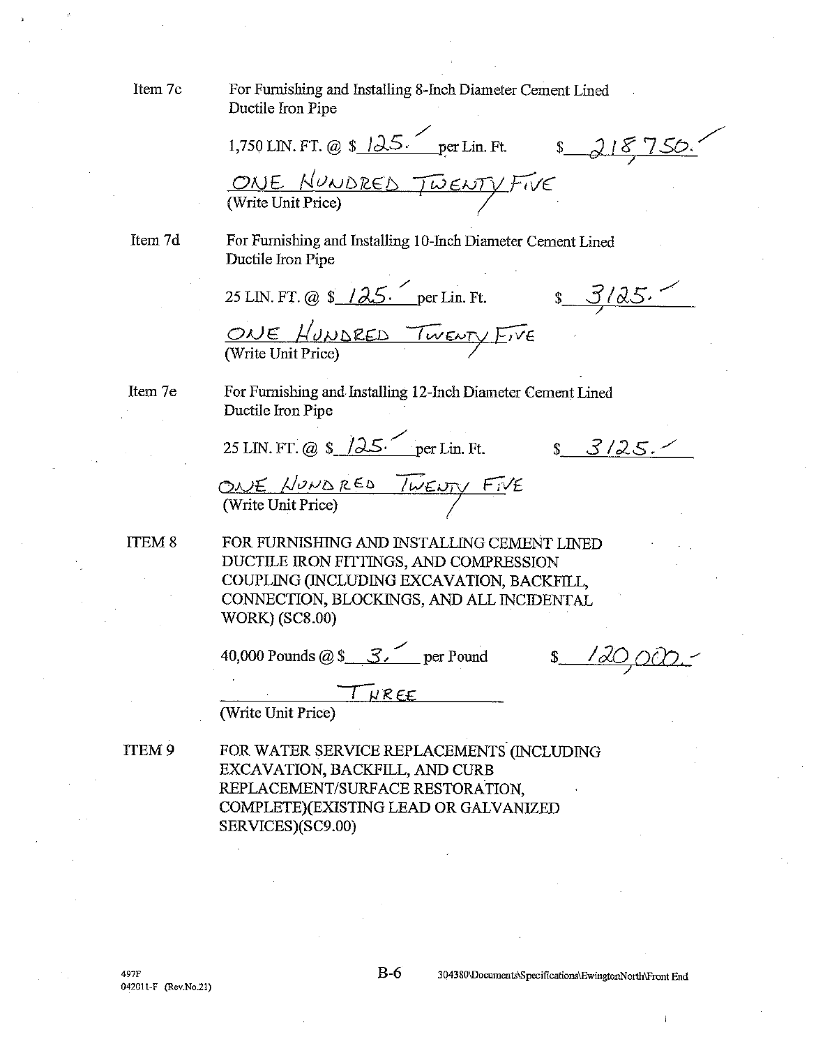Item 7c

For Furnishing and Installing 8-Inch Diameter Cement Lined Ductile Iron Pipe

1,750 LIN. FT. @ \$  $125.$  per Lin. Ft.  $$3750.$ ONE NUNDRED TWENTY FIVE

Item 7d

For Furnishing and Installing 10-Inch Diameter Cement Lined Ductile Iron Pipe

25 LIN. FT. @  $\frac{125}{\sqrt{25}}$  per Lin. Ft.  $s = 3/25.$ ONE HUNDRED TWENTY EIVE

Item 7e

For Furnishing and Installing 12-Inch Diameter Cement Lined Ductile Iron Pipe

25 LIN. FT. @  $\frac{\sqrt{25}}{100}$  per Lin. Ft.

 $$3/25.$ 

ONE HONDRED TWENTY FIVE

ITEM<sub>8</sub>

FOR FURNISHING AND INSTALLING CEMENT LINED DUCTILE IRON FITTINGS, AND COMPRESSION COUPLING (INCLUDING EXCAVATION, BACKFILL, CONNECTION, BLOCKINGS, AND ALL INCIDENTAL **WORK**) (SC8.00)

40,000 Pounds @ \$  $\leq$   $\leq$  per Pound

THREE

(Write Unit Price)

ITEM 9 FOR WATER SERVICE REPLACEMENTS (INCLUDING EXCAVATION, BACKFILL, AND CURB REPLACEMENT/SURFACE RESTORATION. COMPLETE)(EXISTING LEAD OR GALVANIZED SERVICES)(SC9.00)

 $B-6$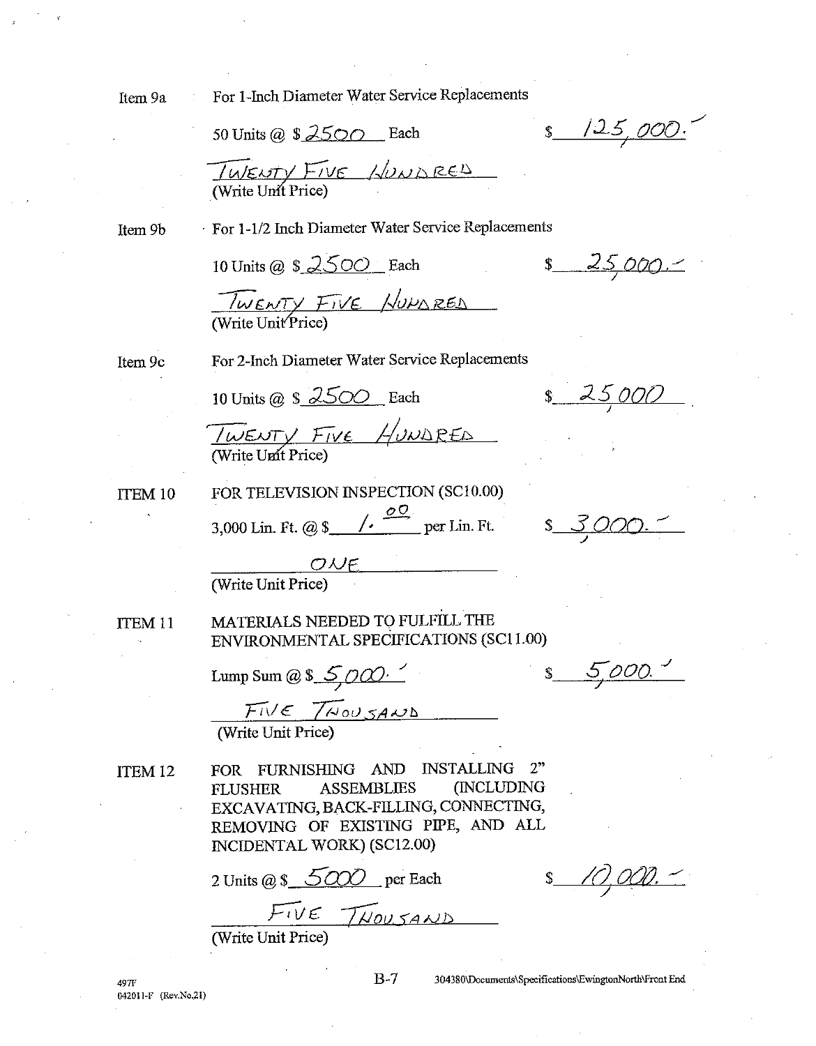Item 9a

For 1-Inch Diameter Water Service Replacements

50 Units @  $$2500$  Each

 $s$   $125,000$ 

TWENTY FIVE HUNDRED

Item 9b

For 1-1/2 Inch Diameter Water Service Replacements

10 Units @ \$ 2500 Each

 $$25,000.1$ 

TWENTY FIVE HUMBRED

Item 9c

For 2-Inch Diameter Water Service Replacements

10 Units @  $\frac{1}{2}$   $\frac{2500}{ }$  Each

 $$25,000$ 

TWENTY FIVE HUNDRED

**ITEM 10** 

3,000 Lin. Ft. @ \$  $\frac{60}{\pi}$  per Lin. Ft. \$ 3,000.

FOR TELEVISION INSPECTION (SC10.00)

 $s = 5000$ 

 $\overline{OWE}$ <br>
(Write Unit Price)

MATERIALS NEEDED TO FULFILL THE ITEM<sub>11</sub> ENVIRONMENTAL SPECIFICATIONS (SC11.00)

Lump Sum @ \$  $5000$ 

 $F_I$  $V \in 7$ NOUSAND

ITEM<sub>12</sub>

FOR FURNISHING AND INSTALLING  $2"$ (INCLUDING **ASSEMBLIES FLUSHER** EXCAVATING, BACK-FILLING, CONNECTING, REMOVING OF EXISTING PIPE, AND ALL INCIDENTAL WORK) (SC12.00)

2 Units @ \$ 5000 per Each

 $FIVE TWOLSAND$ 

 $B-7$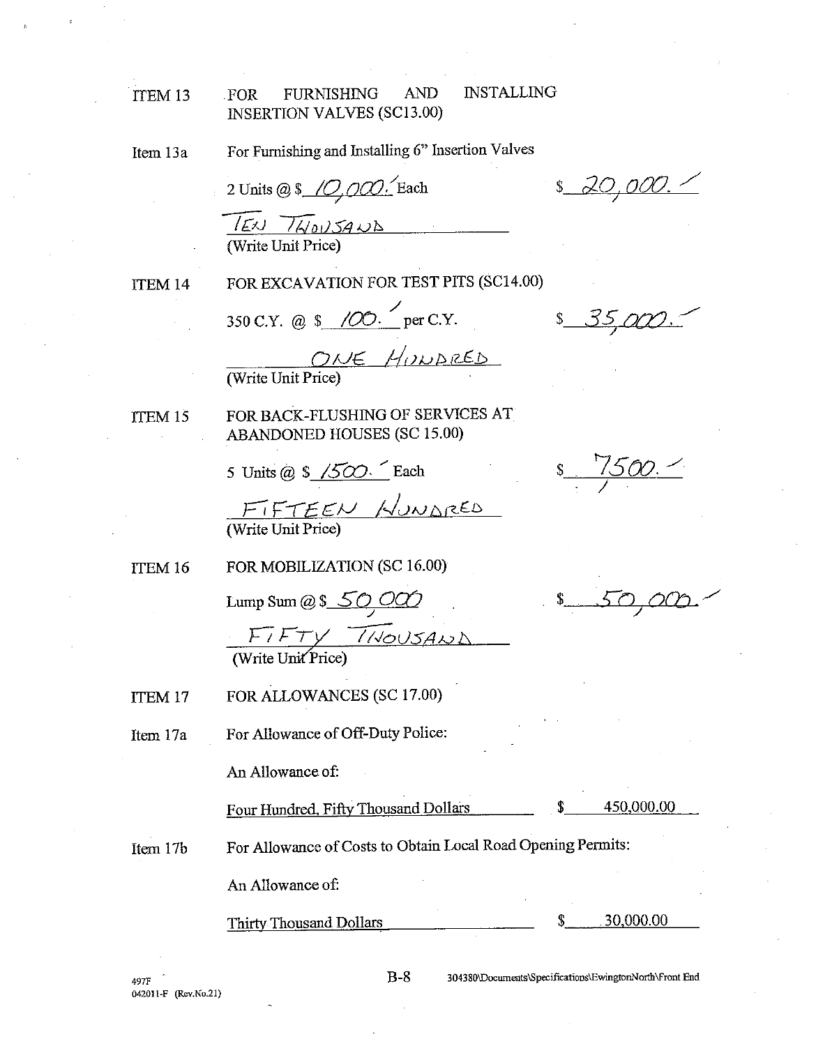#### **INSTALLING AND** FOR **FURNISHING** ITEM 13 **INSERTION VALVES (SC13.00)**

For Furnishing and Installing 6" Insertion Valves Item 13a

2 Units @ \$ 10,000. Each  $150 \frac{1}{14005400}$ (Write Unit Price)

ITEM 14

FOR EXCAVATION FOR TEST PITS (SC14.00)

350 C.Y. @ \$ /00. per C.Y.

ONE HUNDRED

FOR BACK-FLUSHING OF SERVICES AT ITEM 15 ABANDONED HOUSES (SC 15.00)

5 Units @  $\frac{1}{2}$  /500. Each

FIFTEEN NUNDRED

ITEM 16 FOR MOBILIZATION (SC 16.00)

Lump Sum @  $$50,000$ 

 $FTV$   $1100J34W$ <br>(Write Unit Price)

FOR ALLOWANCES (SC 17.00) ITEM 17

For Allowance of Off-Duty Police: Item 17a

An Allowance of:

Four Hundred, Fifty Thousand Dollars

450,000.00

For Allowance of Costs to Obtain Local Road Opening Permits: Item 17b

An Allowance of:

Thirty Thousand Dollars

30,000.00

497F 042011-F (Rev.No.21) 304380\Documents\Specifications\EwingtonNorth\Front End

 $s = 1500$ 

<u> 20,000. Z</u>